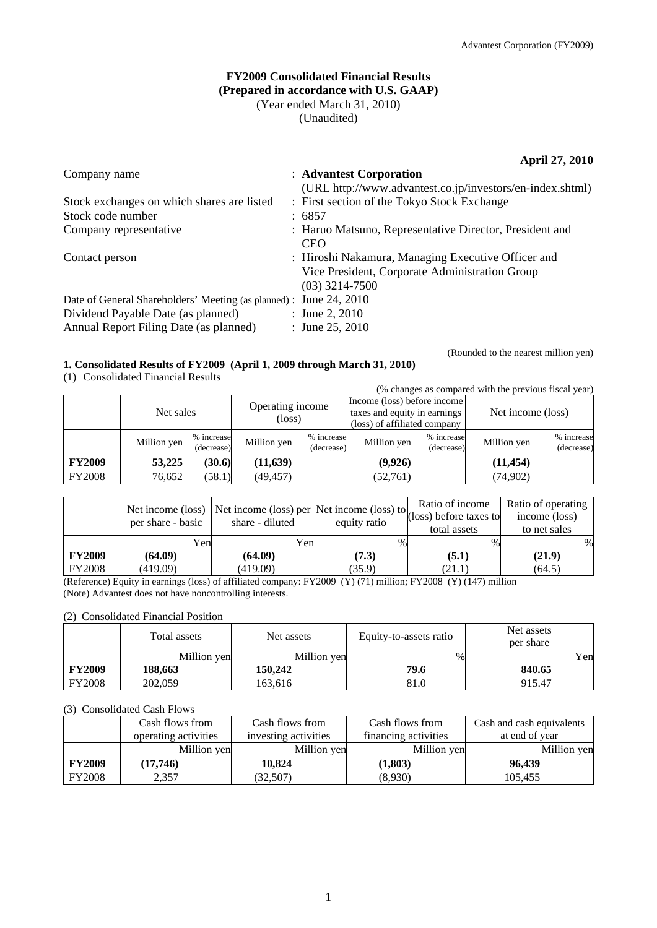### **FY2009 Consolidated Financial Results (Prepared in accordance with U.S. GAAP)**  (Year ended March 31, 2010) (Unaudited)

### **April 27, 2010**

| Company name                                                                                                                                       | : Advantest Corporation                                                                                                  |
|----------------------------------------------------------------------------------------------------------------------------------------------------|--------------------------------------------------------------------------------------------------------------------------|
|                                                                                                                                                    | (URL http://www.advantest.co.jp/investors/en-index.shtml)                                                                |
| Stock exchanges on which shares are listed                                                                                                         | : First section of the Tokyo Stock Exchange                                                                              |
| Stock code number                                                                                                                                  | : 6857                                                                                                                   |
| Company representative                                                                                                                             | : Haruo Matsuno, Representative Director, President and<br><b>CEO</b>                                                    |
| Contact person                                                                                                                                     | : Hiroshi Nakamura, Managing Executive Officer and<br>Vice President, Corporate Administration Group<br>$(03)$ 3214-7500 |
| Date of General Shareholders' Meeting (as planned) : June 24, 2010<br>Dividend Payable Date (as planned)<br>Annual Report Filing Date (as planned) | : June 2, 2010<br>: June 25, 2010                                                                                        |

### **1. Consolidated Results of FY2009 (April 1, 2009 through March 31, 2010)**

(1) Consolidated Financial Results

(Rounded to the nearest million yen)

| (% changes as compared with the previous fiscal year) |             |                          |                                                                                                                           |                          |                   |                          |             |                          |
|-------------------------------------------------------|-------------|--------------------------|---------------------------------------------------------------------------------------------------------------------------|--------------------------|-------------------|--------------------------|-------------|--------------------------|
|                                                       | Net sales   |                          | Income (loss) before income<br>Operating income<br>taxes and equity in earnings<br>(loss)<br>(loss) of affiliated company |                          | Net income (loss) |                          |             |                          |
|                                                       | Million yen | % increase<br>(decrease) | Million yen                                                                                                               | % increase<br>(decrease) | Million yen       | % increase<br>(decrease) | Million yen | % increase<br>(decrease) |
| <b>FY2009</b>                                         | 53,225      | (30.6)                   | (11, 639)                                                                                                                 |                          | (9,926)           |                          | (11, 454)   |                          |
| <b>FY2008</b>                                         | 76,652      | (58.1)                   | (49, 457)                                                                                                                 |                          | (52,761)          |                          | (74, 902)   |                          |

| Net income (loss) |                   |                 | $\log$ Net income (loss) per Net income (loss) to (loss) before taxes to |              | Ratio of operating<br>income (loss) |
|-------------------|-------------------|-----------------|--------------------------------------------------------------------------|--------------|-------------------------------------|
|                   | per share - basic | share - diluted | equity ratio                                                             | total assets | to net sales                        |
|                   | Yenl              | Yenl            | $\%$                                                                     | $\%$         | $\%$                                |
| <b>FY2009</b>     | (64.09)           | (64.09)         | (7.3)                                                                    | (5.1)        | (21.9)                              |
| <b>FY2008</b>     | (419.09)          | (419.09)        | (35.9)                                                                   | (21.1)       | (64.5)                              |

(Reference) Equity in earnings (loss) of affiliated company: FY2009 (Y) (71) million; FY2008 (Y) (147) million (Note) Advantest does not have noncontrolling interests.

### (2) Consolidated Financial Position

|               | Total assets | Net assets  | Equity-to-assets ratio | Net assets<br>per share |
|---------------|--------------|-------------|------------------------|-------------------------|
|               | Million yen  | Million yen | $\%$                   | Yen                     |
| <b>FY2009</b> | 188,663      | 150.242     | 79.6                   | 840.65                  |
| <b>FY2008</b> | 202,059      | 163,616     | 81.0                   | 915.47                  |

### (3) Consolidated Cash Flows

|               | Cash flows from      | Cash flows from      | Cash flows from      | Cash and cash equivalents |
|---------------|----------------------|----------------------|----------------------|---------------------------|
|               | operating activities | investing activities | financing activities | at end of year            |
|               | Million yen          | Million yen          | Million yen          | Million yen               |
| <b>FY2009</b> | (17,746)             | 10.824               | (1,803)              | 96.439                    |
| <b>FY2008</b> | 2,357                | (32,507)             | (8,930)              | 105,455                   |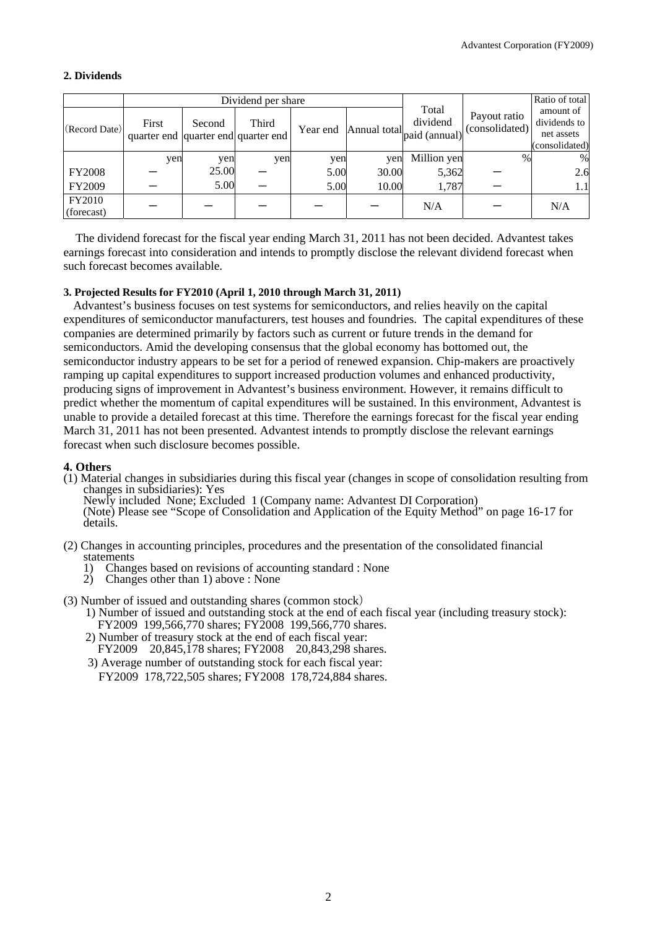### **2. Dividends**

|                      | Dividend per share                           |        |       |          |              |                                    |                                | Ratio of total                                            |
|----------------------|----------------------------------------------|--------|-------|----------|--------------|------------------------------------|--------------------------------|-----------------------------------------------------------|
| (Record Date)        | First<br>quarter end quarter end quarter end | Second | Third | Year end | Annual total | Total<br>dividend<br>paid (annual) | Payout ratio<br>(consolidated) | amount of<br>dividends to<br>net assets<br>(consolidated) |
|                      | yen                                          | yen    | yen   | yen      | yen          | Million yen                        | $\%$                           | %                                                         |
| <b>FY2008</b>        |                                              | 25.00  |       | 5.00     | 30.00        | 5,362                              |                                | 2.6                                                       |
| FY2009               |                                              | 5.00   |       | 5.00     | 10.00        | 1,787                              |                                | 1.1                                                       |
| FY2010<br>(forecast) |                                              |        |       |          |              | N/A                                |                                | N/A                                                       |

The dividend forecast for the fiscal year ending March 31, 2011 has not been decided. Advantest takes earnings forecast into consideration and intends to promptly disclose the relevant dividend forecast when such forecast becomes available.

### **3. Projected Results for FY2010 (April 1, 2010 through March 31, 2011)**

Advantest's business focuses on test systems for semiconductors, and relies heavily on the capital expenditures of semiconductor manufacturers, test houses and foundries. The capital expenditures of these companies are determined primarily by factors such as current or future trends in the demand for semiconductors. Amid the developing consensus that the global economy has bottomed out, the semiconductor industry appears to be set for a period of renewed expansion. Chip-makers are proactively ramping up capital expenditures to support increased production volumes and enhanced productivity, producing signs of improvement in Advantest's business environment. However, it remains difficult to predict whether the momentum of capital expenditures will be sustained. In this environment, Advantest is unable to provide a detailed forecast at this time. Therefore the earnings forecast for the fiscal year ending March 31, 2011 has not been presented. Advantest intends to promptly disclose the relevant earnings forecast when such disclosure becomes possible.

### **4. Others**

- (1) Material changes in subsidiaries during this fiscal year (changes in scope of consolidation resulting from changes in subsidiaries): Yes
	- Newly included None; Excluded 1 (Company name: Advantest DI Corporation)

(Note) Please see "Scope of Consolidation and Application of the Equity Method" on page 16-17 for details.

- (2) Changes in accounting principles, procedures and the presentation of the consolidated financial statements
	- 1) Changes based on revisions of accounting standard : None
	- 2) Changes other than 1) above : None
- (3) Number of issued and outstanding shares (common stock)
	- 1) Number of issued and outstanding stock at the end of each fiscal year (including treasury stock): FY2009 199,566,770 shares; FY2008 199,566,770 shares.
	- 2) Number of treasury stock at the end of each fiscal year:
	- FY2009 20,845,178 shares; FY2008 20,843,298 shares. 3) Average number of outstanding stock for each fiscal year:
		- FY2009 178,722,505 shares; FY2008 178,724,884 shares.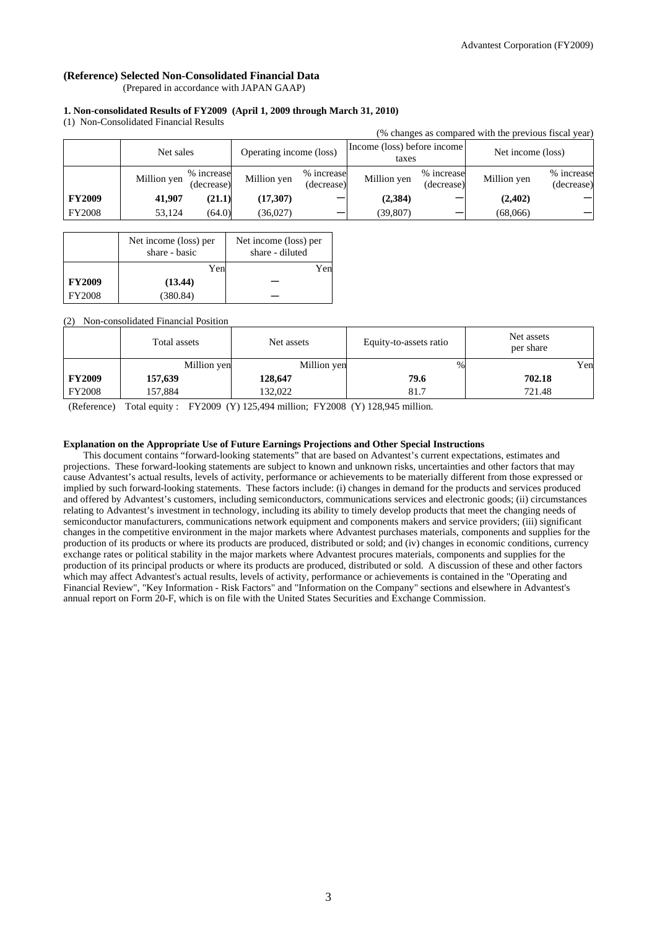### **(Reference) Selected Non-Consolidated Financial Data**

(Prepared in accordance with JAPAN GAAP)

#### **1. Non-consolidated Results of FY2009 (April 1, 2009 through March 31, 2010)**

(1) Non-Consolidated Financial Results

| (% changes as compared with the previous fiscal year) |             |                          |                         |                          |                                      |                          |                   |                          |
|-------------------------------------------------------|-------------|--------------------------|-------------------------|--------------------------|--------------------------------------|--------------------------|-------------------|--------------------------|
|                                                       | Net sales   |                          | Operating income (loss) |                          | Income (loss) before income<br>taxes |                          | Net income (loss) |                          |
|                                                       | Million yen | % increase<br>(decrease) | Million yen             | % increase<br>(decrease) | Million yen                          | % increase<br>(decrease) | Million yen       | % increase<br>(decrease) |
| <b>FY2009</b>                                         | 41,907      | (21.1)                   | (17, 307)               |                          | (2,384)                              |                          | (2,402)           |                          |
| <b>FY2008</b>                                         | 53,124      | (64.0)                   | (36,027)                |                          | (39, 807)                            |                          | (68,066)          |                          |

|               | Net income (loss) per<br>share - basic | Net income (loss) per<br>share - diluted |
|---------------|----------------------------------------|------------------------------------------|
|               | Yen                                    | Yenl                                     |
| <b>FY2009</b> | (13.44)                                |                                          |
| <b>FY2008</b> | (380.84)                               |                                          |

#### (2) Non-consolidated Financial Position

|               | Total assets | Net assets  | Equity-to-assets ratio | Net assets<br>per share |  |
|---------------|--------------|-------------|------------------------|-------------------------|--|
|               | Million yen  | Million yen | %                      | Yen                     |  |
| <b>FY2009</b> | 157,639      | 128,647     | 79.6                   | 702.18                  |  |
| <b>FY2008</b> | 157,884      | 132,022     | 81.7                   | 721.48                  |  |

(Reference) Total equity : FY2009 (Y) 125,494 million; FY2008 (Y) 128,945 million.

#### **Explanation on the Appropriate Use of Future Earnings Projections and Other Special Instructions**

This document contains "forward-looking statements" that are based on Advantest's current expectations, estimates and projections. These forward-looking statements are subject to known and unknown risks, uncertainties and other factors that may cause Advantest's actual results, levels of activity, performance or achievements to be materially different from those expressed or implied by such forward-looking statements. These factors include: (i) changes in demand for the products and services produced and offered by Advantest's customers, including semiconductors, communications services and electronic goods; (ii) circumstances relating to Advantest's investment in technology, including its ability to timely develop products that meet the changing needs of semiconductor manufacturers, communications network equipment and components makers and service providers; (iii) significant changes in the competitive environment in the major markets where Advantest purchases materials, components and supplies for the production of its products or where its products are produced, distributed or sold; and (iv) changes in economic conditions, currency exchange rates or political stability in the major markets where Advantest procures materials, components and supplies for the production of its principal products or where its products are produced, distributed or sold. A discussion of these and other factors which may affect Advantest's actual results, levels of activity, performance or achievements is contained in the "Operating and Financial Review", "Key Information - Risk Factors" and "Information on the Company" sections and elsewhere in Advantest's annual report on Form 20-F, which is on file with the United States Securities and Exchange Commission.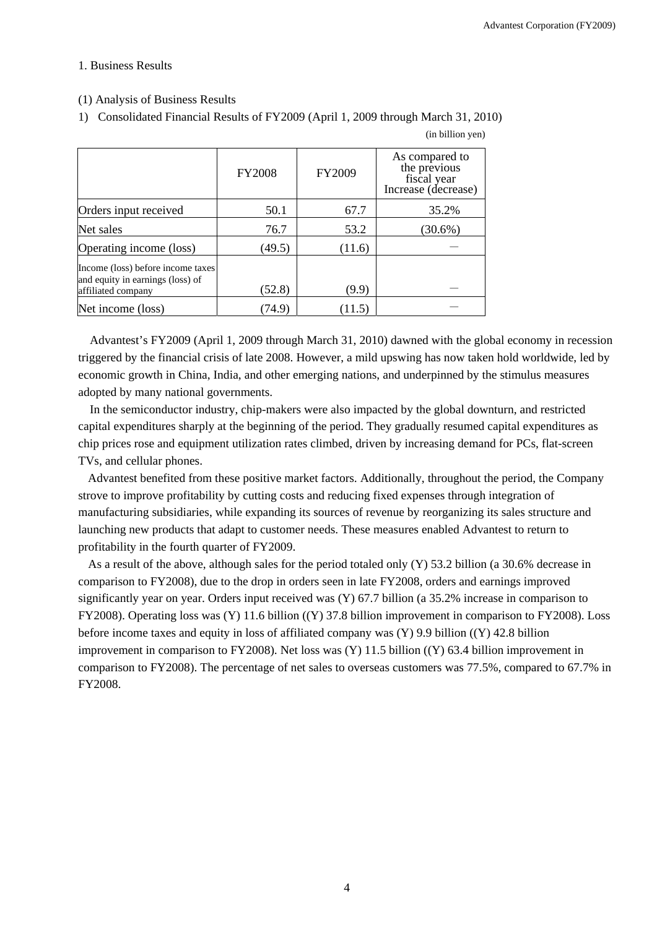### 1. Business Results

### (1) Analysis of Business Results

1) Consolidated Financial Results of FY2009 (April 1, 2009 through March 31, 2010)

|                                                                                             | <b>FY2008</b> | FY2009 | As compared to<br>the previous<br>fiscal year<br>Increase (decrease) |
|---------------------------------------------------------------------------------------------|---------------|--------|----------------------------------------------------------------------|
| Orders input received                                                                       | 50.1          | 67.7   | 35.2%                                                                |
| Net sales                                                                                   | 76.7          | 53.2   | $(30.6\%)$                                                           |
| Operating income (loss)                                                                     | (49.5)        | (11.6) |                                                                      |
| Income (loss) before income taxes<br>and equity in earnings (loss) of<br>affiliated company | (52.8)        | (9.9)  |                                                                      |
| Net income (loss)                                                                           | 74.9)         | (11.5) |                                                                      |

(in billion yen)

Advantest's FY2009 (April 1, 2009 through March 31, 2010) dawned with the global economy in recession triggered by the financial crisis of late 2008. However, a mild upswing has now taken hold worldwide, led by economic growth in China, India, and other emerging nations, and underpinned by the stimulus measures adopted by many national governments.

In the semiconductor industry, chip-makers were also impacted by the global downturn, and restricted capital expenditures sharply at the beginning of the period. They gradually resumed capital expenditures as chip prices rose and equipment utilization rates climbed, driven by increasing demand for PCs, flat-screen TVs, and cellular phones.

Advantest benefited from these positive market factors. Additionally, throughout the period, the Company strove to improve profitability by cutting costs and reducing fixed expenses through integration of manufacturing subsidiaries, while expanding its sources of revenue by reorganizing its sales structure and launching new products that adapt to customer needs. These measures enabled Advantest to return to profitability in the fourth quarter of FY2009.

As a result of the above, although sales for the period totaled only (Y) 53.2 billion (a 30.6% decrease in comparison to FY2008), due to the drop in orders seen in late FY2008, orders and earnings improved significantly year on year. Orders input received was (Y) 67.7 billion (a 35.2% increase in comparison to FY2008). Operating loss was (Y) 11.6 billion ((Y) 37.8 billion improvement in comparison to FY2008). Loss before income taxes and equity in loss of affiliated company was (Y) 9.9 billion ((Y) 42.8 billion improvement in comparison to FY2008). Net loss was (Y) 11.5 billion ((Y) 63.4 billion improvement in comparison to FY2008). The percentage of net sales to overseas customers was 77.5%, compared to 67.7% in FY2008.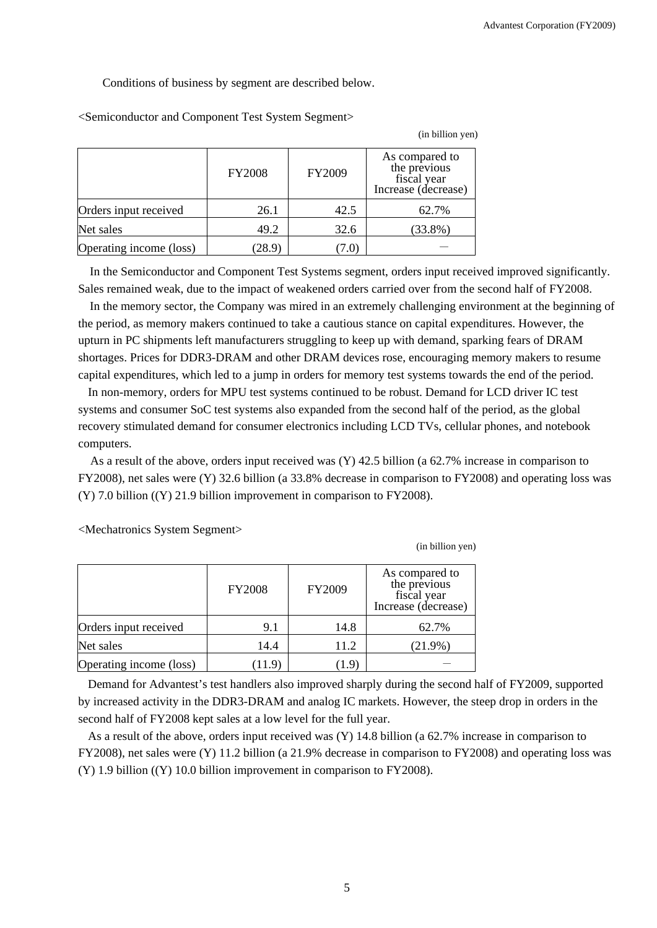Conditions of business by segment are described below.

|                         | <b>FY2008</b> | FY2009 | As compared to<br>the previous<br>fiscal year<br>Increase (decrease) |
|-------------------------|---------------|--------|----------------------------------------------------------------------|
| Orders input received   | 26.1          | 42.5   | 62.7%                                                                |
| Net sales               | 49.2          | 32.6   | $(33.8\%)$                                                           |
| Operating income (loss) | (28.9)        |        |                                                                      |

<Semiconductor and Component Test System Segment>

In the Semiconductor and Component Test Systems segment, orders input received improved significantly. Sales remained weak, due to the impact of weakened orders carried over from the second half of FY2008.

In the memory sector, the Company was mired in an extremely challenging environment at the beginning of the period, as memory makers continued to take a cautious stance on capital expenditures. However, the upturn in PC shipments left manufacturers struggling to keep up with demand, sparking fears of DRAM shortages. Prices for DDR3-DRAM and other DRAM devices rose, encouraging memory makers to resume capital expenditures, which led to a jump in orders for memory test systems towards the end of the period.

In non-memory, orders for MPU test systems continued to be robust. Demand for LCD driver IC test systems and consumer SoC test systems also expanded from the second half of the period, as the global recovery stimulated demand for consumer electronics including LCD TVs, cellular phones, and notebook computers.

As a result of the above, orders input received was (Y) 42.5 billion (a 62.7% increase in comparison to FY2008), net sales were (Y) 32.6 billion (a 33.8% decrease in comparison to FY2008) and operating loss was (Y) 7.0 billion ((Y) 21.9 billion improvement in comparison to FY2008).

<Mechatronics System Segment>

(in billion yen)

(in billion yen)

|                         | <b>FY2008</b> | FY2009 | As compared to<br>the previous<br>fiscal year<br>Increase (decrease) |
|-------------------------|---------------|--------|----------------------------------------------------------------------|
| Orders input received   | 9.1           | 14.8   | 62.7%                                                                |
| Net sales               | 14.4          | 11.2   | $(21.9\%)$                                                           |
| Operating income (loss) | 11.9          | . I .9 |                                                                      |

Demand for Advantest's test handlers also improved sharply during the second half of FY2009, supported by increased activity in the DDR3-DRAM and analog IC markets. However, the steep drop in orders in the second half of FY2008 kept sales at a low level for the full year.

As a result of the above, orders input received was (Y) 14.8 billion (a 62.7% increase in comparison to FY2008), net sales were (Y) 11.2 billion (a 21.9% decrease in comparison to FY2008) and operating loss was (Y) 1.9 billion ((Y) 10.0 billion improvement in comparison to FY2008).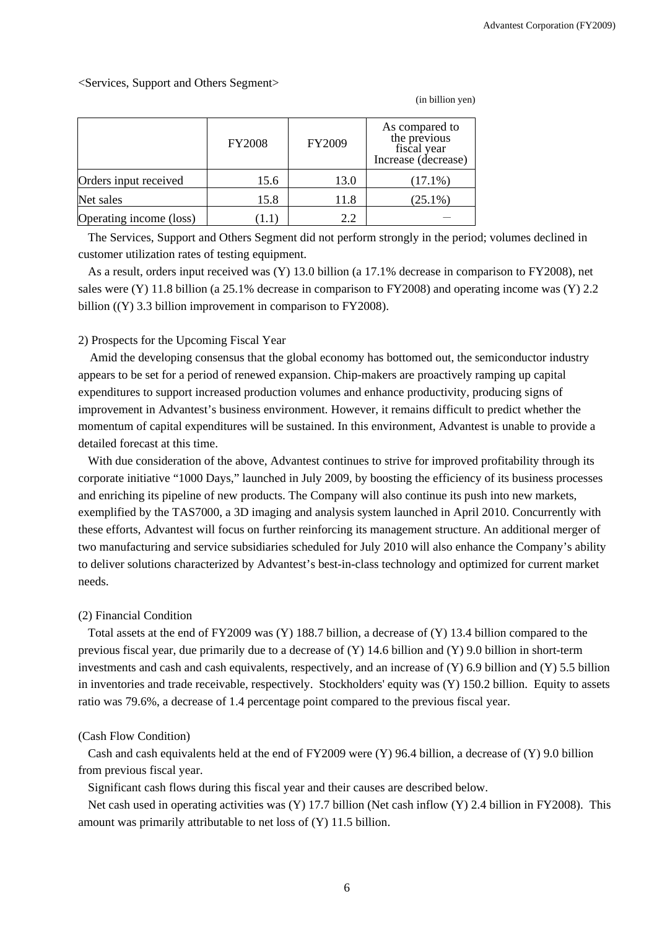<Services, Support and Others Segment>

|                         | <b>FY2008</b> | FY2009 | As compared to<br>the previous<br>fiscal year<br>Increase (decrease) |
|-------------------------|---------------|--------|----------------------------------------------------------------------|
| Orders input received   | 15.6          | 13.0   | $(17.1\%)$                                                           |
| Net sales               | 15.8          | 11.8   | $(25.1\%)$                                                           |
| Operating income (loss) |               | 2.2    |                                                                      |

(in billion yen)

The Services, Support and Others Segment did not perform strongly in the period; volumes declined in customer utilization rates of testing equipment.

As a result, orders input received was (Y) 13.0 billion (a 17.1% decrease in comparison to FY2008), net sales were (Y) 11.8 billion (a 25.1% decrease in comparison to FY2008) and operating income was (Y) 2.2 billion ((Y) 3.3 billion improvement in comparison to FY2008).

#### 2) Prospects for the Upcoming Fiscal Year

Amid the developing consensus that the global economy has bottomed out, the semiconductor industry appears to be set for a period of renewed expansion. Chip-makers are proactively ramping up capital expenditures to support increased production volumes and enhance productivity, producing signs of improvement in Advantest's business environment. However, it remains difficult to predict whether the momentum of capital expenditures will be sustained. In this environment, Advantest is unable to provide a detailed forecast at this time.

With due consideration of the above, Advantest continues to strive for improved profitability through its corporate initiative "1000 Days," launched in July 2009, by boosting the efficiency of its business processes and enriching its pipeline of new products. The Company will also continue its push into new markets, exemplified by the TAS7000, a 3D imaging and analysis system launched in April 2010. Concurrently with these efforts, Advantest will focus on further reinforcing its management structure. An additional merger of two manufacturing and service subsidiaries scheduled for July 2010 will also enhance the Company's ability to deliver solutions characterized by Advantest's best-in-class technology and optimized for current market needs.

### (2) Financial Condition

Total assets at the end of FY2009 was (Y) 188.7 billion, a decrease of (Y) 13.4 billion compared to the previous fiscal year, due primarily due to a decrease of (Y) 14.6 billion and (Y) 9.0 billion in short-term investments and cash and cash equivalents, respectively, and an increase of  $(Y)$  6.9 billion and  $(Y)$  5.5 billion in inventories and trade receivable, respectively. Stockholders' equity was (Y) 150.2 billion. Equity to assets ratio was 79.6%, a decrease of 1.4 percentage point compared to the previous fiscal year.

### (Cash Flow Condition)

Cash and cash equivalents held at the end of FY2009 were (Y) 96.4 billion, a decrease of (Y) 9.0 billion from previous fiscal year.

Significant cash flows during this fiscal year and their causes are described below.

Net cash used in operating activities was (Y) 17.7 billion (Net cash inflow (Y) 2.4 billion in FY2008). This amount was primarily attributable to net loss of (Y) 11.5 billion.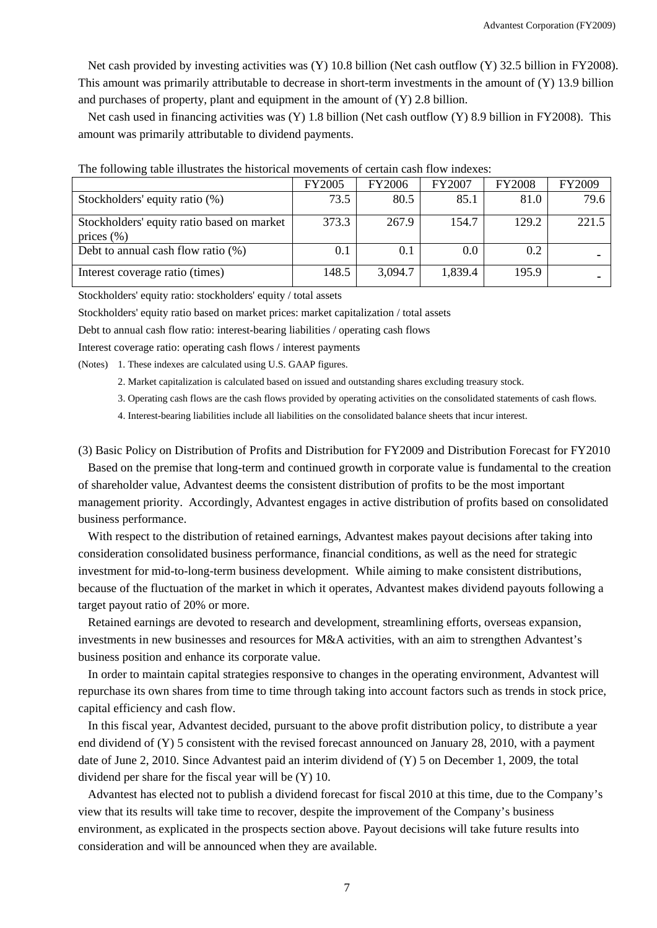Net cash provided by investing activities was (Y) 10.8 billion (Net cash outflow (Y) 32.5 billion in FY2008). This amount was primarily attributable to decrease in short-term investments in the amount of (Y) 13.9 billion and purchases of property, plant and equipment in the amount of (Y) 2.8 billion.

Net cash used in financing activities was (Y) 1.8 billion (Net cash outflow (Y) 8.9 billion in FY2008). This amount was primarily attributable to dividend payments.

|                                                              | <b>FY2005</b> | <b>FY2006</b> | <b>FY2007</b> | <b>FY2008</b> | FY2009 |
|--------------------------------------------------------------|---------------|---------------|---------------|---------------|--------|
| Stockholders' equity ratio (%)                               | 73.5          | 80.5          | 85.1          | 81.0          | 79.6   |
| Stockholders' equity ratio based on market<br>prices $(\% )$ | 373.3         | 267.9         | 154.7         | 129.2         | 221.5  |
| Debt to annual cash flow ratio $(\%)$                        | 0.1           | 0.1           | 0.0           | 0.2           |        |
| Interest coverage ratio (times)                              | 148.5         | 3,094.7       | 1,839.4       | 195.9         |        |

The following table illustrates the historical movements of certain cash flow indexes:

Stockholders' equity ratio: stockholders' equity / total assets

Stockholders' equity ratio based on market prices: market capitalization / total assets

Debt to annual cash flow ratio: interest-bearing liabilities / operating cash flows

Interest coverage ratio: operating cash flows / interest payments

(Notes) 1. These indexes are calculated using U.S. GAAP figures.

- 2. Market capitalization is calculated based on issued and outstanding shares excluding treasury stock.
- 3. Operating cash flows are the cash flows provided by operating activities on the consolidated statements of cash flows.
- 4. Interest-bearing liabilities include all liabilities on the consolidated balance sheets that incur interest.

(3) Basic Policy on Distribution of Profits and Distribution for FY2009 and Distribution Forecast for FY2010

Based on the premise that long-term and continued growth in corporate value is fundamental to the creation of shareholder value, Advantest deems the consistent distribution of profits to be the most important management priority. Accordingly, Advantest engages in active distribution of profits based on consolidated business performance.

With respect to the distribution of retained earnings, Advantest makes payout decisions after taking into consideration consolidated business performance, financial conditions, as well as the need for strategic investment for mid-to-long-term business development. While aiming to make consistent distributions, because of the fluctuation of the market in which it operates, Advantest makes dividend payouts following a target payout ratio of 20% or more.

Retained earnings are devoted to research and development, streamlining efforts, overseas expansion, investments in new businesses and resources for M&A activities, with an aim to strengthen Advantest's business position and enhance its corporate value.

In order to maintain capital strategies responsive to changes in the operating environment, Advantest will repurchase its own shares from time to time through taking into account factors such as trends in stock price, capital efficiency and cash flow.

In this fiscal year, Advantest decided, pursuant to the above profit distribution policy, to distribute a year end dividend of (Y) 5 consistent with the revised forecast announced on January 28, 2010, with a payment date of June 2, 2010. Since Advantest paid an interim dividend of (Y) 5 on December 1, 2009, the total dividend per share for the fiscal year will be (Y) 10.

Advantest has elected not to publish a dividend forecast for fiscal 2010 at this time, due to the Company's view that its results will take time to recover, despite the improvement of the Company's business environment, as explicated in the prospects section above. Payout decisions will take future results into consideration and will be announced when they are available.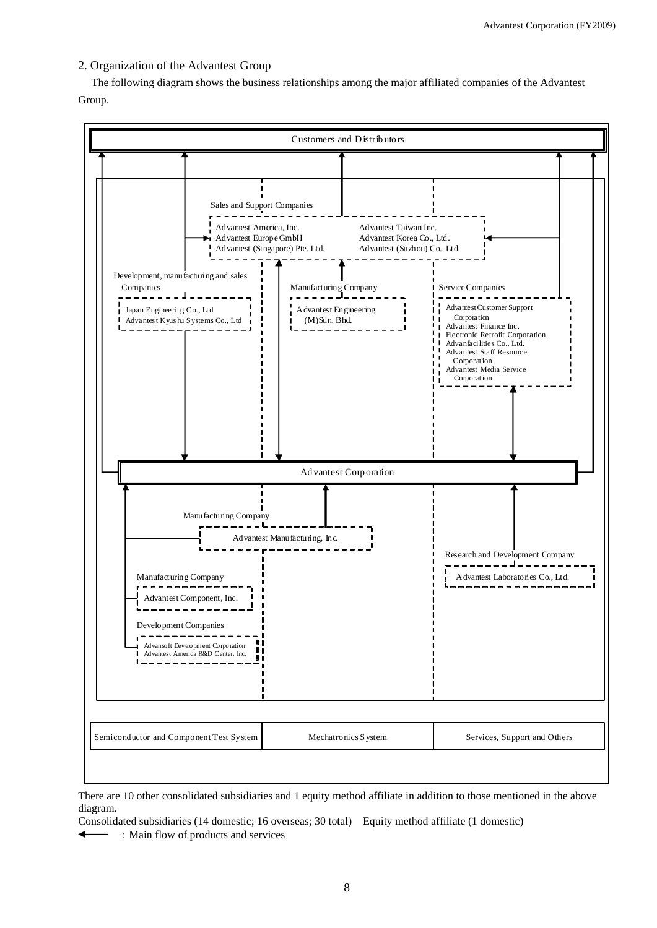## 2. Organization of the Advantest Group

The following diagram shows the business relationships among the major affiliated companies of the Advantest Group.



There are 10 other consolidated subsidiaries and 1 equity method affiliate in addition to those mentioned in the above diagram.

Consolidated subsidiaries (14 domestic; 16 overseas; 30 total) Equity method affiliate (1 domestic)

:Main flow of products and services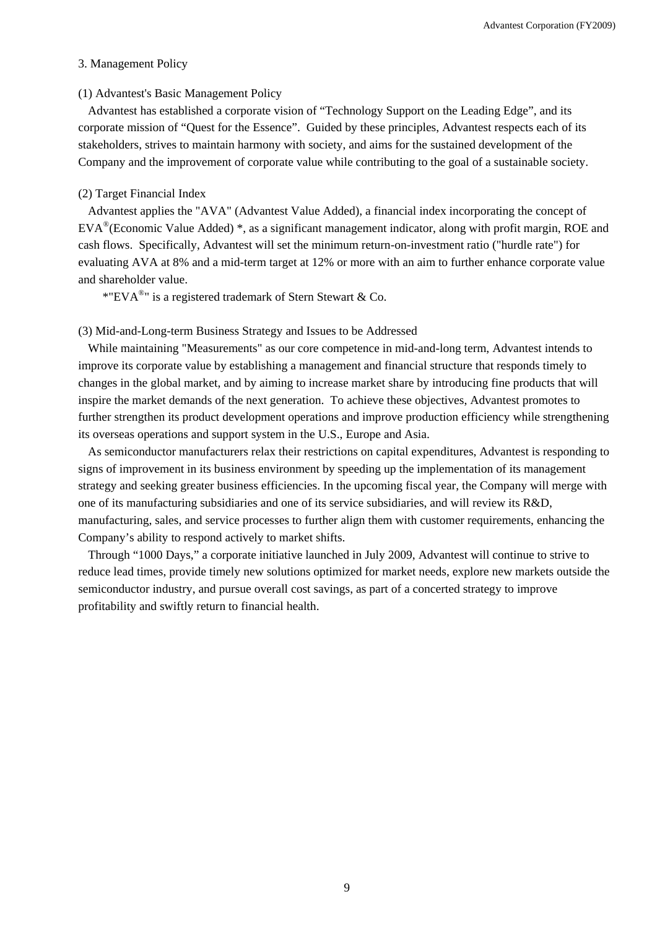### 3. Management Policy

### (1) Advantest's Basic Management Policy

Advantest has established a corporate vision of "Technology Support on the Leading Edge", and its corporate mission of "Quest for the Essence". Guided by these principles, Advantest respects each of its stakeholders, strives to maintain harmony with society, and aims for the sustained development of the Company and the improvement of corporate value while contributing to the goal of a sustainable society.

## (2) Target Financial Index

Advantest applies the "AVA" (Advantest Value Added), a financial index incorporating the concept of EVA®(Economic Value Added) \*, as a significant management indicator, along with profit margin, ROE and cash flows. Specifically, Advantest will set the minimum return-on-investment ratio ("hurdle rate") for evaluating AVA at 8% and a mid-term target at 12% or more with an aim to further enhance corporate value and shareholder value.

\*"EVA $^{\circ}$ " is a registered trademark of Stern Stewart & Co.

(3) Mid-and-Long-term Business Strategy and Issues to be Addressed

While maintaining "Measurements" as our core competence in mid-and-long term, Advantest intends to improve its corporate value by establishing a management and financial structure that responds timely to changes in the global market, and by aiming to increase market share by introducing fine products that will inspire the market demands of the next generation. To achieve these objectives, Advantest promotes to further strengthen its product development operations and improve production efficiency while strengthening its overseas operations and support system in the U.S., Europe and Asia.

As semiconductor manufacturers relax their restrictions on capital expenditures, Advantest is responding to signs of improvement in its business environment by speeding up the implementation of its management strategy and seeking greater business efficiencies. In the upcoming fiscal year, the Company will merge with one of its manufacturing subsidiaries and one of its service subsidiaries, and will review its R&D, manufacturing, sales, and service processes to further align them with customer requirements, enhancing the Company's ability to respond actively to market shifts.

Through "1000 Days," a corporate initiative launched in July 2009, Advantest will continue to strive to reduce lead times, provide timely new solutions optimized for market needs, explore new markets outside the semiconductor industry, and pursue overall cost savings, as part of a concerted strategy to improve profitability and swiftly return to financial health.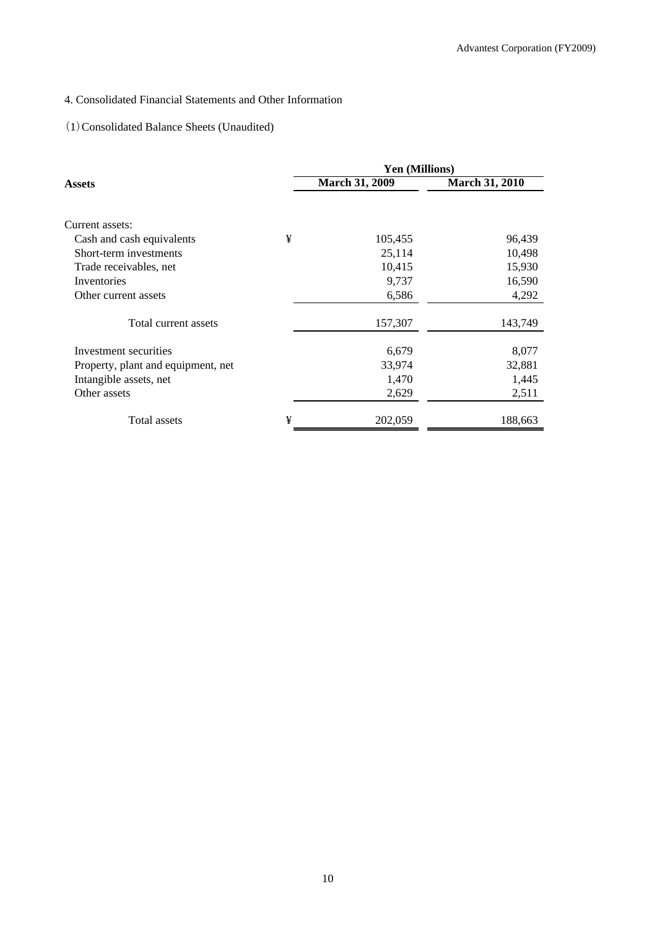# 4. Consolidated Financial Statements and Other Information

## (1)Consolidated Balance Sheets (Unaudited)

|                                    |   | <b>Yen (Millions)</b> |                       |  |  |
|------------------------------------|---|-----------------------|-----------------------|--|--|
| Assets                             |   | <b>March 31, 2009</b> | <b>March 31, 2010</b> |  |  |
|                                    |   |                       |                       |  |  |
| Current assets:                    |   |                       |                       |  |  |
| Cash and cash equivalents          | ¥ | 105,455               | 96,439                |  |  |
| Short-term investments             |   | 25,114                | 10,498                |  |  |
| Trade receivables, net             |   | 10,415                | 15,930                |  |  |
| Inventories                        |   | 9,737                 | 16,590                |  |  |
| Other current assets               |   | 6,586                 | 4,292                 |  |  |
| Total current assets               |   | 157,307               | 143,749               |  |  |
| Investment securities              |   | 6,679                 | 8,077                 |  |  |
| Property, plant and equipment, net |   | 33,974                | 32,881                |  |  |
| Intangible assets, net             |   | 1,470                 | 1,445                 |  |  |
| Other assets                       |   | 2,629                 | 2,511                 |  |  |
| Total assets                       | ¥ | 202,059               | 188,663               |  |  |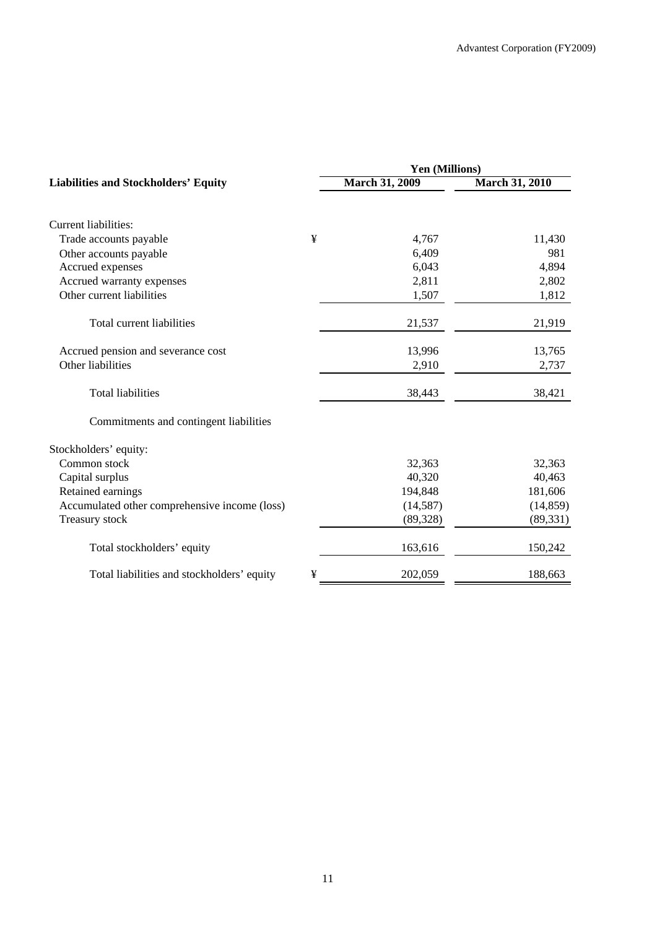|                                               |   | Yen (Millions)        |                       |  |  |
|-----------------------------------------------|---|-----------------------|-----------------------|--|--|
| <b>Liabilities and Stockholders' Equity</b>   |   | <b>March 31, 2009</b> | <b>March 31, 2010</b> |  |  |
| <b>Current liabilities:</b>                   |   |                       |                       |  |  |
| Trade accounts payable                        | ¥ | 4,767                 | 11,430                |  |  |
| Other accounts payable                        |   | 6,409                 | 981                   |  |  |
| Accrued expenses                              |   | 6,043                 | 4,894                 |  |  |
| Accrued warranty expenses                     |   | 2,811                 | 2,802                 |  |  |
| Other current liabilities                     |   | 1,507                 | 1,812                 |  |  |
| Total current liabilities                     |   | 21,537                | 21,919                |  |  |
| Accrued pension and severance cost            |   | 13,996                | 13,765                |  |  |
| Other liabilities                             |   | 2,910                 | 2,737                 |  |  |
| <b>Total liabilities</b>                      |   | 38,443                | 38,421                |  |  |
| Commitments and contingent liabilities        |   |                       |                       |  |  |
| Stockholders' equity:                         |   |                       |                       |  |  |
| Common stock                                  |   | 32,363                | 32,363                |  |  |
| Capital surplus                               |   | 40,320                | 40,463                |  |  |
| Retained earnings                             |   | 194,848               | 181,606               |  |  |
| Accumulated other comprehensive income (loss) |   | (14, 587)             | (14, 859)             |  |  |
| Treasury stock                                |   | (89, 328)             | (89, 331)             |  |  |
| Total stockholders' equity                    |   | 163,616               | 150,242               |  |  |
| Total liabilities and stockholders' equity    | ¥ | 202,059               | 188,663               |  |  |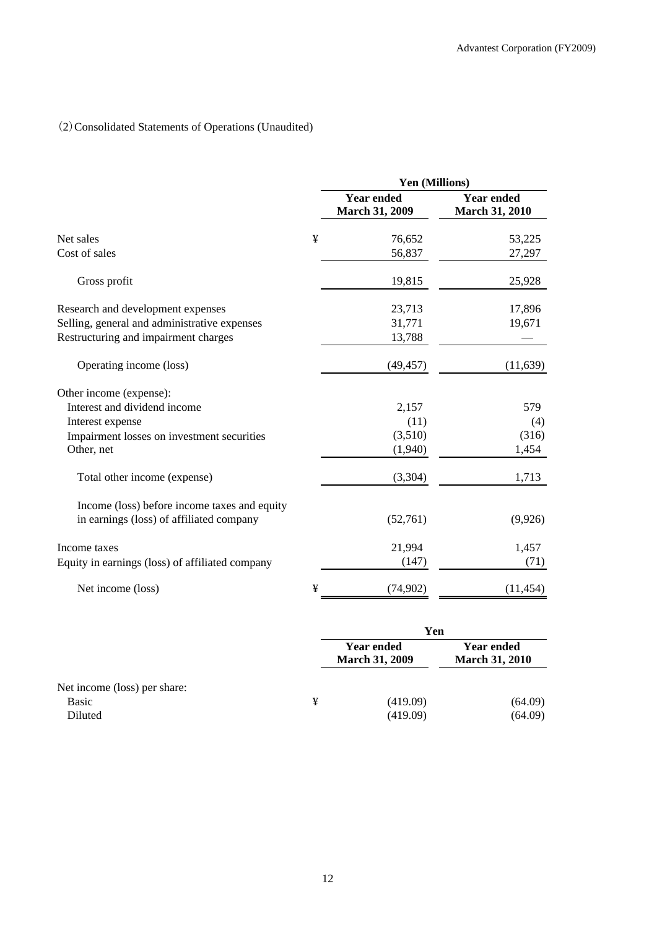## (2)Consolidated Statements of Operations (Unaudited)

|   | Yen (Millions)                             |                                            |  |
|---|--------------------------------------------|--------------------------------------------|--|
|   | <b>Year ended</b><br><b>March 31, 2009</b> | <b>Year ended</b><br><b>March 31, 2010</b> |  |
| ¥ | 76,652                                     | 53,225                                     |  |
|   | 56,837                                     | 27,297                                     |  |
|   | 19,815                                     | 25,928                                     |  |
|   | 23,713                                     | 17,896                                     |  |
|   | 31,771                                     | 19,671                                     |  |
|   | 13,788                                     |                                            |  |
|   | (49, 457)                                  | (11, 639)                                  |  |
|   |                                            |                                            |  |
|   | 2,157                                      | 579                                        |  |
|   | (11)                                       | (4)                                        |  |
|   | (3,510)                                    | (316)                                      |  |
|   | (1,940)                                    | 1,454                                      |  |
|   | (3,304)                                    | 1,713                                      |  |
|   |                                            |                                            |  |
|   | (52,761)                                   | (9,926)                                    |  |
|   | 21,994                                     | 1,457                                      |  |
|   | (147)                                      | (71)                                       |  |
| ¥ | (74,902)                                   | (11, 454)                                  |  |
|   |                                            |                                            |  |

|                              |   | Yen                                        |                                            |  |
|------------------------------|---|--------------------------------------------|--------------------------------------------|--|
|                              |   | <b>Year ended</b><br><b>March 31, 2009</b> | <b>Year ended</b><br><b>March 31, 2010</b> |  |
| Net income (loss) per share: |   |                                            |                                            |  |
| <b>Basic</b>                 | ¥ | (419.09)                                   | (64.09)                                    |  |
| Diluted                      |   | (419.09)                                   | (64.09)                                    |  |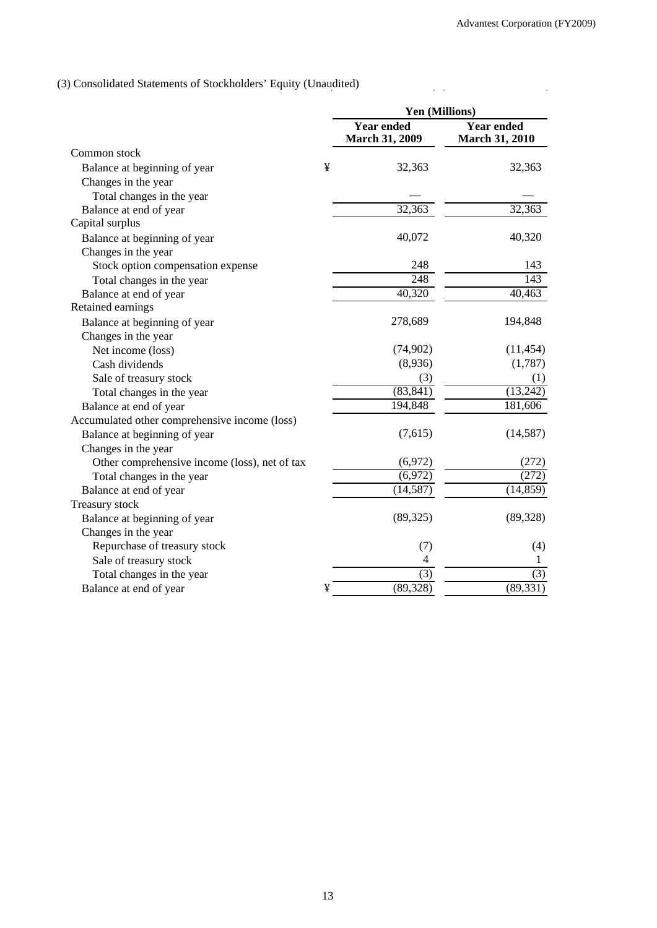$\ddot{\phantom{a}}$ 

 $\frac{1}{2}$  ,  $\frac{1}{2}$ 

# (3) Consolidated Statements of Stockholders' Equity (Unaudited)

|                                               |   | Yen (Millions)                             |                                            |
|-----------------------------------------------|---|--------------------------------------------|--------------------------------------------|
|                                               |   | <b>Year ended</b><br><b>March 31, 2009</b> | <b>Year ended</b><br><b>March 31, 2010</b> |
| Common stock                                  |   |                                            |                                            |
| Balance at beginning of year                  | ¥ | 32,363                                     | 32,363                                     |
| Changes in the year                           |   |                                            |                                            |
| Total changes in the year                     |   |                                            |                                            |
| Balance at end of year                        |   | 32,363                                     | 32,363                                     |
| Capital surplus                               |   |                                            |                                            |
| Balance at beginning of year                  |   | 40,072                                     | 40,320                                     |
| Changes in the year                           |   |                                            |                                            |
| Stock option compensation expense             |   | 248                                        | 143                                        |
| Total changes in the year                     |   | $\overline{248}$                           | $\overline{143}$                           |
| Balance at end of year                        |   | 40,320                                     | 40,463                                     |
| Retained earnings                             |   |                                            |                                            |
| Balance at beginning of year                  |   | 278,689                                    | 194,848                                    |
| Changes in the year                           |   |                                            |                                            |
| Net income (loss)                             |   | (74, 902)                                  | (11, 454)                                  |
| Cash dividends                                |   | (8,936)                                    | (1,787)                                    |
| Sale of treasury stock                        |   | (3)                                        | (1)                                        |
| Total changes in the year                     |   | (83, 841)                                  | (13,242)                                   |
| Balance at end of year                        |   | 194,848                                    | 181,606                                    |
| Accumulated other comprehensive income (loss) |   |                                            |                                            |
| Balance at beginning of year                  |   | (7,615)                                    | (14, 587)                                  |
| Changes in the year                           |   |                                            |                                            |
| Other comprehensive income (loss), net of tax |   | (6,972)                                    | (272)                                      |
| Total changes in the year                     |   | (6,972)                                    | (272)                                      |
| Balance at end of year                        |   | (14, 587)                                  | (14, 859)                                  |
| Treasury stock                                |   |                                            |                                            |
| Balance at beginning of year                  |   | (89, 325)                                  | (89, 328)                                  |
| Changes in the year                           |   |                                            |                                            |
| Repurchase of treasury stock                  |   | (7)                                        | (4)                                        |
| Sale of treasury stock                        |   | 4                                          | 1                                          |
| Total changes in the year                     |   | (3)                                        | (3)                                        |
| Balance at end of year                        | ¥ | (89, 328)                                  | (89, 331)                                  |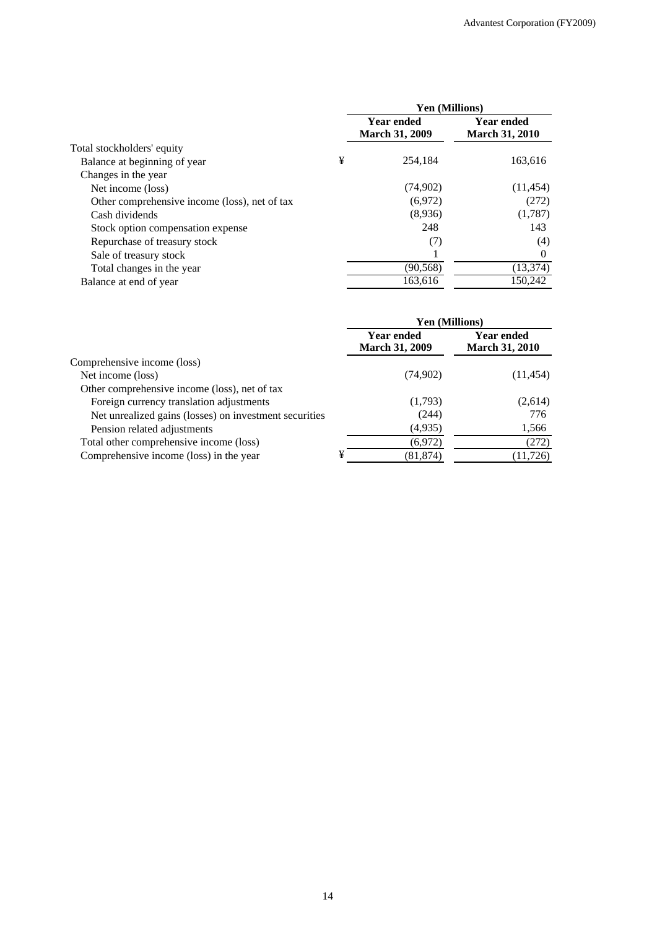|                                               |   | Yen (Millions)                             |                                            |  |
|-----------------------------------------------|---|--------------------------------------------|--------------------------------------------|--|
|                                               |   | <b>Year ended</b><br><b>March 31, 2009</b> | <b>Year ended</b><br><b>March 31, 2010</b> |  |
| Total stockholders' equity                    |   |                                            |                                            |  |
| Balance at beginning of year                  | ¥ | 254,184                                    | 163,616                                    |  |
| Changes in the year                           |   |                                            |                                            |  |
| Net income (loss)                             |   | (74,902)                                   | (11, 454)                                  |  |
| Other comprehensive income (loss), net of tax |   | (6,972)                                    | (272)                                      |  |
| Cash dividends                                |   | (8,936)                                    | (1,787)                                    |  |
| Stock option compensation expense             |   | 248                                        | 143                                        |  |
| Repurchase of treasury stock                  |   | (7)                                        | (4)                                        |  |
| Sale of treasury stock                        |   |                                            | $\Omega$                                   |  |
| Total changes in the year                     |   | (90, 568)                                  | (13, 374)                                  |  |
| Balance at end of year                        |   | 163,616                                    | 150,242                                    |  |

| Yen (Millions)                      |                                            |  |
|-------------------------------------|--------------------------------------------|--|
| Year ended<br><b>March 31, 2009</b> | <b>Year ended</b><br><b>March 31, 2010</b> |  |
|                                     |                                            |  |
| (74,902)                            | (11, 454)                                  |  |
|                                     |                                            |  |
| (1,793)                             | (2,614)                                    |  |
| (244)                               | 776                                        |  |
| (4,935)                             | 1,566                                      |  |
| (6,972)                             | (272)                                      |  |
| ¥<br>(81, 874)                      | (11, 726)                                  |  |
|                                     |                                            |  |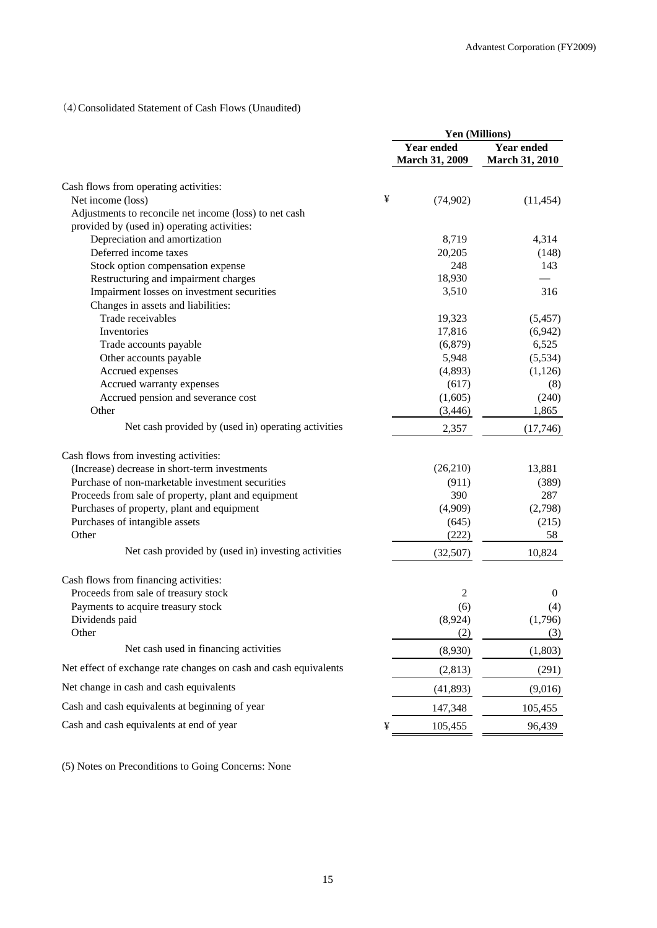# (4)Consolidated Statement of Cash Flows (Unaudited)

|                                                                  |   | Yen (Millions)                             |                                            |  |
|------------------------------------------------------------------|---|--------------------------------------------|--------------------------------------------|--|
|                                                                  |   | <b>Year ended</b><br><b>March 31, 2009</b> | <b>Year ended</b><br><b>March 31, 2010</b> |  |
| Cash flows from operating activities:                            |   |                                            |                                            |  |
| Net income (loss)                                                | ¥ | (74, 902)                                  | (11, 454)                                  |  |
| Adjustments to reconcile net income (loss) to net cash           |   |                                            |                                            |  |
| provided by (used in) operating activities:                      |   |                                            |                                            |  |
| Depreciation and amortization                                    |   | 8,719                                      | 4,314                                      |  |
| Deferred income taxes                                            |   | 20,205                                     | (148)                                      |  |
| Stock option compensation expense                                |   | 248                                        | 143                                        |  |
| Restructuring and impairment charges                             |   | 18,930                                     |                                            |  |
| Impairment losses on investment securities                       |   | 3,510                                      | 316                                        |  |
| Changes in assets and liabilities:                               |   |                                            |                                            |  |
| Trade receivables                                                |   | 19,323                                     | (5, 457)                                   |  |
| Inventories                                                      |   | 17,816                                     | (6,942)                                    |  |
| Trade accounts payable<br>Other accounts payable                 |   | (6,879)<br>5,948                           | 6,525<br>(5,534)                           |  |
| Accrued expenses                                                 |   | (4,893)                                    | (1,126)                                    |  |
| Accrued warranty expenses                                        |   | (617)                                      | (8)                                        |  |
| Accrued pension and severance cost                               |   | (1,605)                                    | (240)                                      |  |
| Other                                                            |   | (3, 446)                                   | 1,865                                      |  |
| Net cash provided by (used in) operating activities              |   | 2,357                                      | (17,746)                                   |  |
| Cash flows from investing activities:                            |   |                                            |                                            |  |
| (Increase) decrease in short-term investments                    |   | (26,210)                                   | 13,881                                     |  |
| Purchase of non-marketable investment securities                 |   | (911)                                      | (389)                                      |  |
| Proceeds from sale of property, plant and equipment              |   | 390                                        | 287                                        |  |
| Purchases of property, plant and equipment                       |   | (4,909)                                    | (2,798)                                    |  |
| Purchases of intangible assets                                   |   | (645)                                      | (215)                                      |  |
| Other                                                            |   | (222)                                      | 58                                         |  |
| Net cash provided by (used in) investing activities              |   | (32,507)                                   | 10,824                                     |  |
| Cash flows from financing activities:                            |   |                                            |                                            |  |
| Proceeds from sale of treasury stock                             |   | 2                                          | $\mathbf{0}$                               |  |
| Payments to acquire treasury stock                               |   | (6)                                        | (4)                                        |  |
| Dividends paid                                                   |   | (8,924)                                    | (1,796)                                    |  |
| Other                                                            |   | (2)                                        | (3)                                        |  |
| Net cash used in financing activities                            |   | (8,930)                                    | (1,803)                                    |  |
| Net effect of exchange rate changes on cash and cash equivalents |   | (2, 813)                                   | (291)                                      |  |
| Net change in cash and cash equivalents                          |   | (41, 893)                                  | (9,016)                                    |  |
| Cash and cash equivalents at beginning of year                   |   | 147,348                                    | 105,455                                    |  |
| Cash and cash equivalents at end of year                         | ¥ | 105,455                                    | 96,439                                     |  |

(5) Notes on Preconditions to Going Concerns: None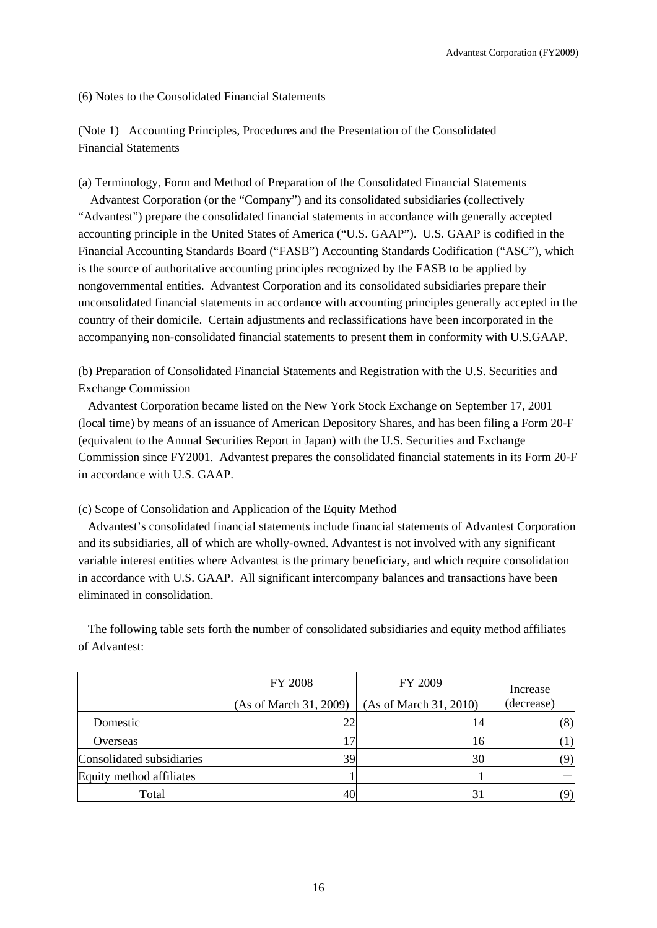(6) Notes to the Consolidated Financial Statements

(Note 1) Accounting Principles, Procedures and the Presentation of the Consolidated Financial Statements

(a) Terminology, Form and Method of Preparation of the Consolidated Financial Statements Advantest Corporation (or the "Company") and its consolidated subsidiaries (collectively "Advantest") prepare the consolidated financial statements in accordance with generally accepted accounting principle in the United States of America ("U.S. GAAP"). U.S. GAAP is codified in the Financial Accounting Standards Board ("FASB") Accounting Standards Codification ("ASC"), which is the source of authoritative accounting principles recognized by the FASB to be applied by nongovernmental entities. Advantest Corporation and its consolidated subsidiaries prepare their unconsolidated financial statements in accordance with accounting principles generally accepted in the country of their domicile. Certain adjustments and reclassifications have been incorporated in the accompanying non-consolidated financial statements to present them in conformity with U.S.GAAP.

(b) Preparation of Consolidated Financial Statements and Registration with the U.S. Securities and Exchange Commission

Advantest Corporation became listed on the New York Stock Exchange on September 17, 2001 (local time) by means of an issuance of American Depository Shares, and has been filing a Form 20-F (equivalent to the Annual Securities Report in Japan) with the U.S. Securities and Exchange Commission since FY2001. Advantest prepares the consolidated financial statements in its Form 20-F in accordance with U.S. GAAP.

(c) Scope of Consolidation and Application of the Equity Method

Advantest's consolidated financial statements include financial statements of Advantest Corporation and its subsidiaries, all of which are wholly-owned. Advantest is not involved with any significant variable interest entities where Advantest is the primary beneficiary, and which require consolidation in accordance with U.S. GAAP. All significant intercompany balances and transactions have been eliminated in consolidation.

The following table sets forth the number of consolidated subsidiaries and equity method affiliates of Advantest:

|                           | <b>FY 2008</b><br>(As of March 31, 2009) | FY 2009<br>(As of March 31, 2010) | Increase<br>(decrease) |
|---------------------------|------------------------------------------|-----------------------------------|------------------------|
| Domestic                  | 22                                       | 14                                | (8)                    |
| Overseas                  |                                          | 16                                | $\left(1\right)$       |
| Consolidated subsidiaries | 39                                       | 30                                | 9)                     |
| Equity method affiliates  |                                          |                                   |                        |
| Total                     |                                          | 31                                | 9)                     |

16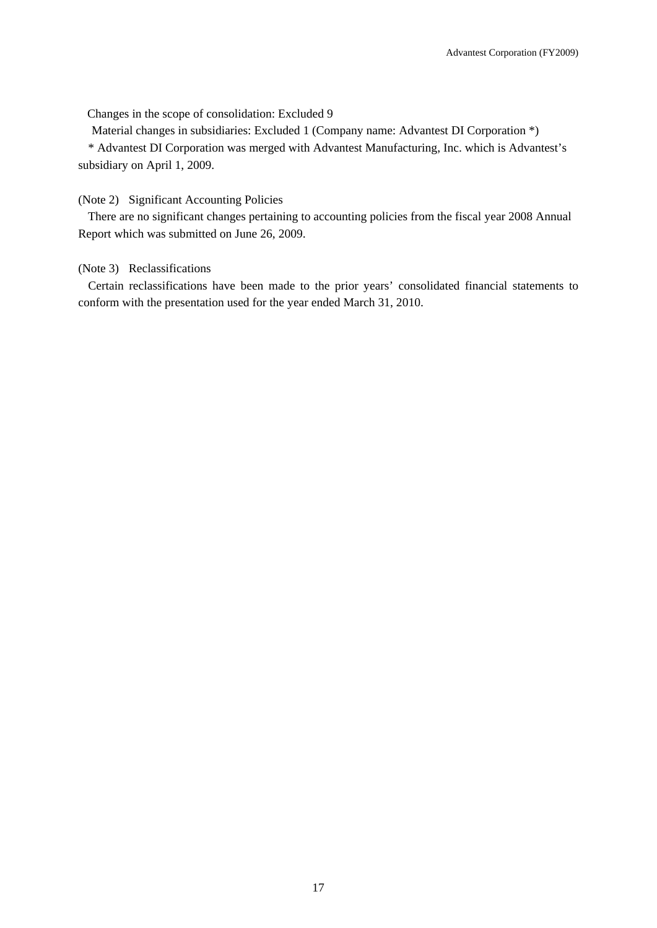Changes in the scope of consolidation: Excluded 9

Material changes in subsidiaries: Excluded 1 (Company name: Advantest DI Corporation \*)

\* Advantest DI Corporation was merged with Advantest Manufacturing, Inc. which is Advantest's subsidiary on April 1, 2009.

(Note 2) Significant Accounting Policies

There are no significant changes pertaining to accounting policies from the fiscal year 2008 Annual Report which was submitted on June 26, 2009.

### (Note 3) Reclassifications

Certain reclassifications have been made to the prior years' consolidated financial statements to conform with the presentation used for the year ended March 31, 2010.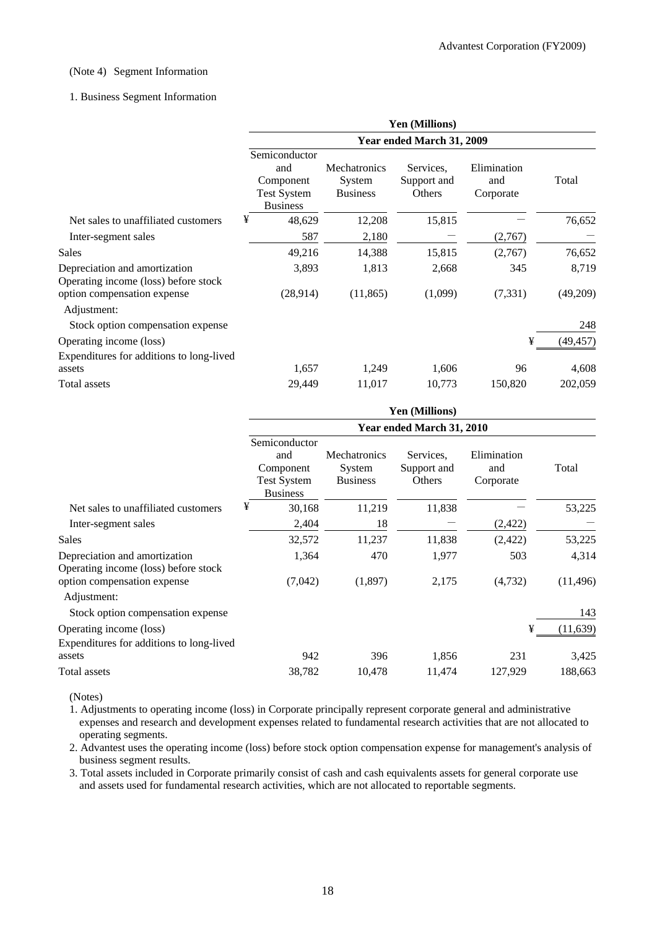### (Note 4) Segment Information

### 1. Business Segment Information

|                                                                       | Yen (Millions)                                                             |                                                  |                                    |                                 |           |  |  |
|-----------------------------------------------------------------------|----------------------------------------------------------------------------|--------------------------------------------------|------------------------------------|---------------------------------|-----------|--|--|
|                                                                       | Year ended March 31, 2009                                                  |                                                  |                                    |                                 |           |  |  |
|                                                                       | Semiconductor<br>and<br>Component<br><b>Test System</b><br><b>Business</b> | <b>Mechatronics</b><br>System<br><b>Business</b> | Services.<br>Support and<br>Others | Elimination<br>and<br>Corporate | Total     |  |  |
| Net sales to unaffiliated customers                                   | ¥<br>48,629                                                                | 12,208                                           | 15,815                             |                                 | 76,652    |  |  |
| Inter-segment sales                                                   | 587                                                                        | 2,180                                            |                                    | (2,767)                         |           |  |  |
| Sales                                                                 | 49,216                                                                     | 14,388                                           | 15,815                             | (2,767)                         | 76,652    |  |  |
| Depreciation and amortization<br>Operating income (loss) before stock | 3,893                                                                      | 1,813                                            | 2,668                              | 345                             | 8,719     |  |  |
| option compensation expense<br>Adjustment:                            | (28,914)                                                                   | (11, 865)                                        | (1,099)                            | (7, 331)                        | (49,209)  |  |  |
| Stock option compensation expense                                     |                                                                            |                                                  |                                    |                                 | 248       |  |  |
| Operating income (loss)                                               |                                                                            |                                                  |                                    | ¥                               | (49, 457) |  |  |
| Expenditures for additions to long-lived                              |                                                                            |                                                  |                                    |                                 |           |  |  |
| assets                                                                | 1,657                                                                      | 1,249                                            | 1,606                              | 96                              | 4,608     |  |  |
| Total assets                                                          | 29,449                                                                     | 11,017                                           | 10,773                             | 150,820                         | 202,059   |  |  |

|                                                                                    | <b>Yen (Millions)</b>                                                      |                                                  |                                    |                                 |           |  |  |
|------------------------------------------------------------------------------------|----------------------------------------------------------------------------|--------------------------------------------------|------------------------------------|---------------------------------|-----------|--|--|
|                                                                                    | Year ended March 31, 2010                                                  |                                                  |                                    |                                 |           |  |  |
|                                                                                    | Semiconductor<br>and<br>Component<br><b>Test System</b><br><b>Business</b> | <b>Mechatronics</b><br>System<br><b>Business</b> | Services.<br>Support and<br>Others | Elimination<br>and<br>Corporate | Total     |  |  |
| Net sales to unaffiliated customers                                                | ¥<br>30,168                                                                | 11,219                                           | 11,838                             |                                 | 53,225    |  |  |
| Inter-segment sales                                                                | 2,404                                                                      | 18                                               |                                    | (2, 422)                        |           |  |  |
| Sales                                                                              | 32,572                                                                     | 11,237                                           | 11,838                             | (2,422)                         | 53,225    |  |  |
| Depreciation and amortization                                                      | 1,364                                                                      | 470                                              | 1,977                              | 503                             | 4,314     |  |  |
| Operating income (loss) before stock<br>option compensation expense<br>Adjustment: | (7,042)                                                                    | (1,897)                                          | 2,175                              | (4, 732)                        | (11, 496) |  |  |
| Stock option compensation expense                                                  |                                                                            |                                                  |                                    |                                 | 143       |  |  |
| Operating income (loss)<br>Expenditures for additions to long-lived                |                                                                            |                                                  |                                    | ¥                               | (11, 639) |  |  |
| assets                                                                             | 942                                                                        | 396                                              | 1,856                              | 231                             | 3,425     |  |  |
| Total assets                                                                       | 38,782                                                                     | 10,478                                           | 11,474                             | 127,929                         | 188,663   |  |  |

(Notes)

1. Adjustments to operating income (loss) in Corporate principally represent corporate general and administrative expenses and research and development expenses related to fundamental research activities that are not allocated to operating segments.

2. Advantest uses the operating income (loss) before stock option compensation expense for management's analysis of business segment results.

3. Total assets included in Corporate primarily consist of cash and cash equivalents assets for general corporate use and assets used for fundamental research activities, which are not allocated to reportable segments.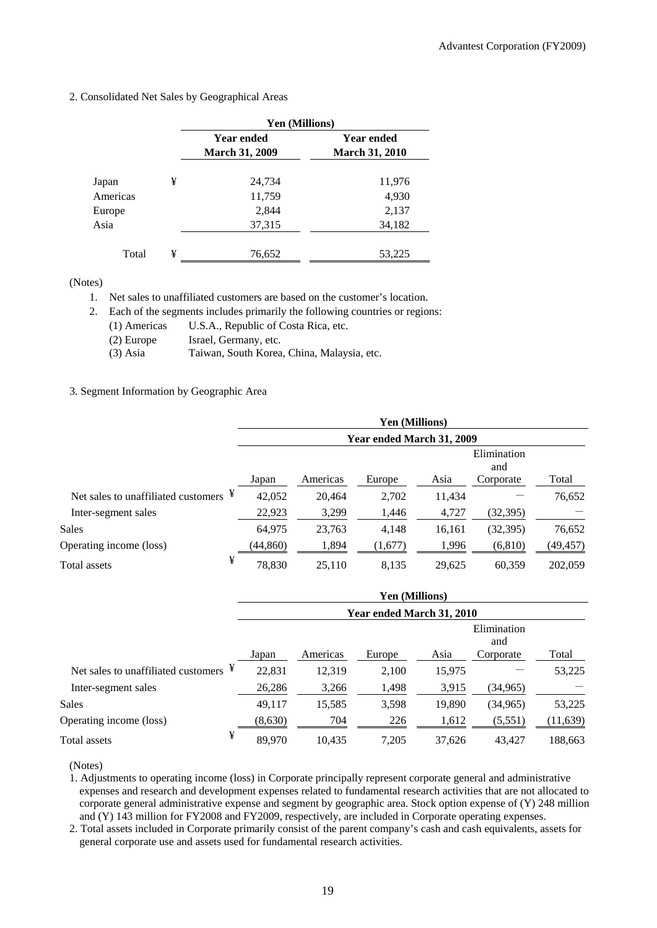|          |   | Yen (Millions)        |                       |  |  |
|----------|---|-----------------------|-----------------------|--|--|
|          |   | <b>Year ended</b>     | Year ended            |  |  |
|          |   | <b>March 31, 2009</b> | <b>March 31, 2010</b> |  |  |
| Japan    | ¥ | 24,734                | 11,976                |  |  |
| Americas |   | 11,759                | 4,930                 |  |  |
| Europe   |   | 2,844                 | 2,137                 |  |  |
| Asia     |   | 37,315                | 34,182                |  |  |
| Total    | ¥ | 76,652                | 53,225                |  |  |

### 2. Consolidated Net Sales by Geographical Areas

(Notes)

1. Net sales to unaffiliated customers are based on the customer's location.

2. Each of the segments includes primarily the following countries or regions:

- (1) Americas U.S.A., Republic of Costa Rica, etc.
- (2) Europe Israel, Germany, etc.
- (3) Asia Taiwan, South Korea, China, Malaysia, etc.

### 3. Segment Information by Geographic Area

|                                                   |   | Yen (Millions) |                           |         |        |                    |           |  |
|---------------------------------------------------|---|----------------|---------------------------|---------|--------|--------------------|-----------|--|
|                                                   |   |                | Year ended March 31, 2009 |         |        |                    |           |  |
|                                                   |   |                |                           |         |        | Elimination<br>and |           |  |
|                                                   |   | Japan          | Americas                  | Europe  | Asia   | Corporate          | Total     |  |
| Net sales to unaffiliated customers $\frac{4}{3}$ |   | 42,052         | 20,464                    | 2,702   | 11,434 |                    | 76,652    |  |
| Inter-segment sales                               |   | 22,923         | 3,299                     | 1,446   | 4,727  | (32,395)           |           |  |
| <b>Sales</b>                                      |   | 64,975         | 23,763                    | 4,148   | 16,161 | (32, 395)          | 76,652    |  |
| Operating income (loss)                           |   | (44,860)       | 1,894                     | (1,677) | 1,996  | (6, 810)           | (49, 457) |  |
| Total assets                                      | ¥ | 78,830         | 25,110                    | 8,135   | 29,625 | 60,359             | 202,059   |  |

|                                          |         | Yen (Millions)            |        |        |                    |           |  |  |
|------------------------------------------|---------|---------------------------|--------|--------|--------------------|-----------|--|--|
|                                          |         | Year ended March 31, 2010 |        |        |                    |           |  |  |
|                                          |         |                           |        |        | Elimination<br>and |           |  |  |
|                                          | Japan   | Americas                  | Europe | Asia   | Corporate          | Total     |  |  |
| ¥<br>Net sales to unaffiliated customers | 22,831  | 12,319                    | 2,100  | 15,975 |                    | 53,225    |  |  |
| Inter-segment sales                      | 26,286  | 3,266                     | 1,498  | 3,915  | (34, 965)          |           |  |  |
| <b>Sales</b>                             | 49,117  | 15,585                    | 3,598  | 19,890 | (34, 965)          | 53,225    |  |  |
| Operating income (loss)                  | (8,630) | 704                       | 226    | 1,612  | (5,551)            | (11, 639) |  |  |
| ¥<br>Total assets                        | 89,970  | 10.435                    | 7,205  | 37.626 | 43.427             | 188,663   |  |  |

(Notes)

1. Adjustments to operating income (loss) in Corporate principally represent corporate general and administrative expenses and research and development expenses related to fundamental research activities that are not allocated to corporate general administrative expense and segment by geographic area. Stock option expense of (Y) 248 million and (Y) 143 million for FY2008 and FY2009, respectively, are included in Corporate operating expenses.

2. Total assets included in Corporate primarily consist of the parent company's cash and cash equivalents, assets for general corporate use and assets used for fundamental research activities.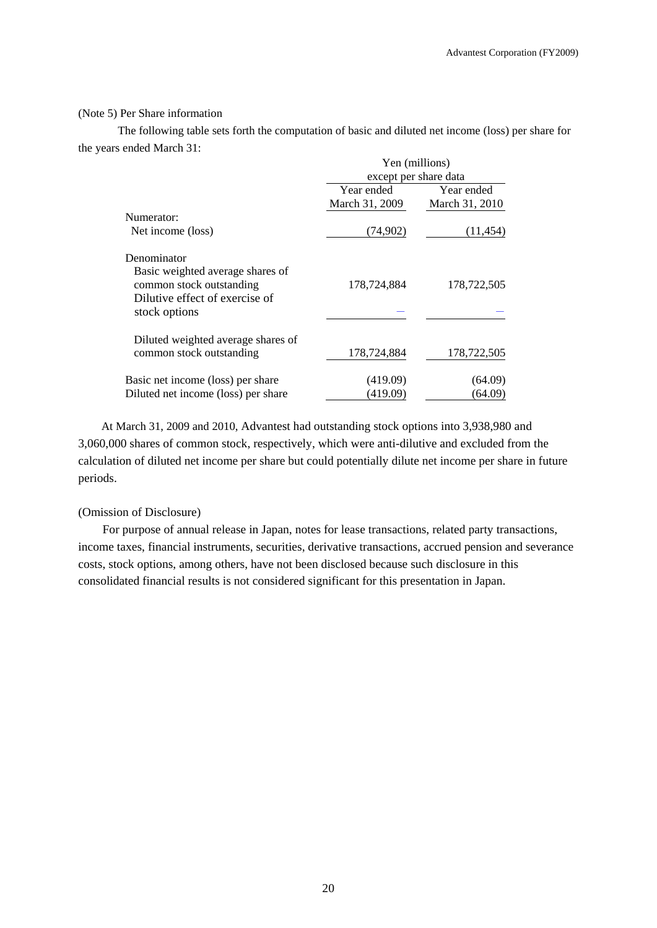### (Note 5) Per Share information

 The following table sets forth the computation of basic and diluted net income (loss) per share for the years ended March 31:

|                                     | Yen (millions) |                       |  |  |
|-------------------------------------|----------------|-----------------------|--|--|
|                                     |                | except per share data |  |  |
|                                     | Year ended     | Year ended            |  |  |
|                                     | March 31, 2009 | March 31, 2010        |  |  |
| Numerator:                          |                |                       |  |  |
| Net income (loss)                   | (74,902)       | (11, 454)             |  |  |
| Denominator                         |                |                       |  |  |
| Basic weighted average shares of    |                |                       |  |  |
| common stock outstanding            | 178,724,884    | 178,722,505           |  |  |
| Dilutive effect of exercise of      |                |                       |  |  |
| stock options                       |                |                       |  |  |
| Diluted weighted average shares of  |                |                       |  |  |
| common stock outstanding            | 178,724,884    | 178,722,505           |  |  |
| Basic net income (loss) per share   | (419.09)       | (64.09)               |  |  |
| Diluted net income (loss) per share | (419.09)       | (64.09)               |  |  |

At March 31, 2009 and 2010, Advantest had outstanding stock options into 3,938,980 and 3,060,000 shares of common stock, respectively, which were anti-dilutive and excluded from the calculation of diluted net income per share but could potentially dilute net income per share in future periods.

### (Omission of Disclosure)

For purpose of annual release in Japan, notes for lease transactions, related party transactions, income taxes, financial instruments, securities, derivative transactions, accrued pension and severance costs, stock options, among others, have not been disclosed because such disclosure in this consolidated financial results is not considered significant for this presentation in Japan.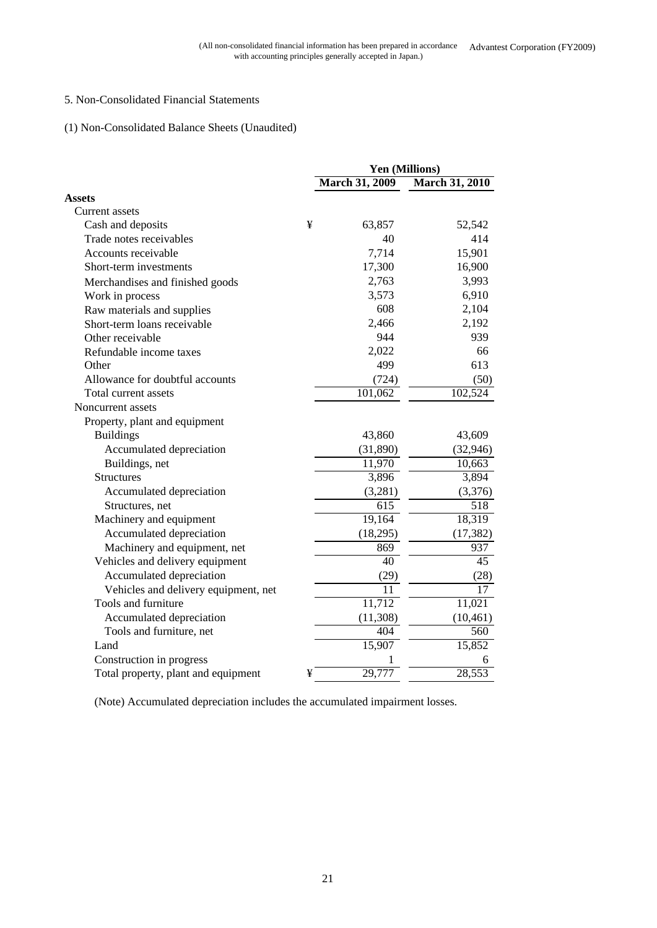## 5. Non-Consolidated Financial Statements

## (1) Non-Consolidated Balance Sheets (Unaudited)

|                                      |   | Yen (Millions)        |                       |  |
|--------------------------------------|---|-----------------------|-----------------------|--|
|                                      |   | <b>March 31, 2009</b> | <b>March 31, 2010</b> |  |
| <b>Assets</b>                        |   |                       |                       |  |
| Current assets                       |   |                       |                       |  |
| Cash and deposits                    | ¥ | 63,857                | 52,542                |  |
| Trade notes receivables              |   | 40                    | 414                   |  |
| Accounts receivable                  |   | 7,714                 | 15,901                |  |
| Short-term investments               |   | 17,300                | 16,900                |  |
| Merchandises and finished goods      |   | 2,763                 | 3,993                 |  |
| Work in process                      |   | 3,573                 | 6,910                 |  |
| Raw materials and supplies           |   | 608                   | 2,104                 |  |
| Short-term loans receivable          |   | 2,466                 | 2,192                 |  |
| Other receivable                     |   | 944                   | 939                   |  |
| Refundable income taxes              |   | 2,022                 | 66                    |  |
| Other                                |   | 499                   | 613                   |  |
| Allowance for doubtful accounts      |   | (724)                 | (50)                  |  |
| Total current assets                 |   | 101,062               | 102,524               |  |
| Noncurrent assets                    |   |                       |                       |  |
| Property, plant and equipment        |   |                       |                       |  |
| <b>Buildings</b>                     |   | 43,860                | 43,609                |  |
| Accumulated depreciation             |   | (31,890)              | (32, 946)             |  |
| Buildings, net                       |   | 11,970                | 10,663                |  |
| <b>Structures</b>                    |   | 3,896                 | 3,894                 |  |
| Accumulated depreciation             |   | (3,281)               | (3,376)               |  |
| Structures, net                      |   | 615                   | 518                   |  |
| Machinery and equipment              |   | 19,164                | 18,319                |  |
| Accumulated depreciation             |   | (18,295)              | (17, 382)             |  |
| Machinery and equipment, net         |   | 869                   | 937                   |  |
| Vehicles and delivery equipment      |   | 40                    | $\overline{45}$       |  |
| Accumulated depreciation             |   | (29)                  | (28)                  |  |
| Vehicles and delivery equipment, net |   | 11                    | $\overline{17}$       |  |
| Tools and furniture                  |   | 11,712                | 11,021                |  |
| Accumulated depreciation             |   | (11, 308)             | (10, 461)             |  |
| Tools and furniture, net             |   | 404                   | 560                   |  |
| Land                                 |   | 15,907                | 15,852                |  |
| Construction in progress             |   | 1                     | 6                     |  |
| Total property, plant and equipment  | ¥ | 29,777                | 28,553                |  |

(Note) Accumulated depreciation includes the accumulated impairment losses.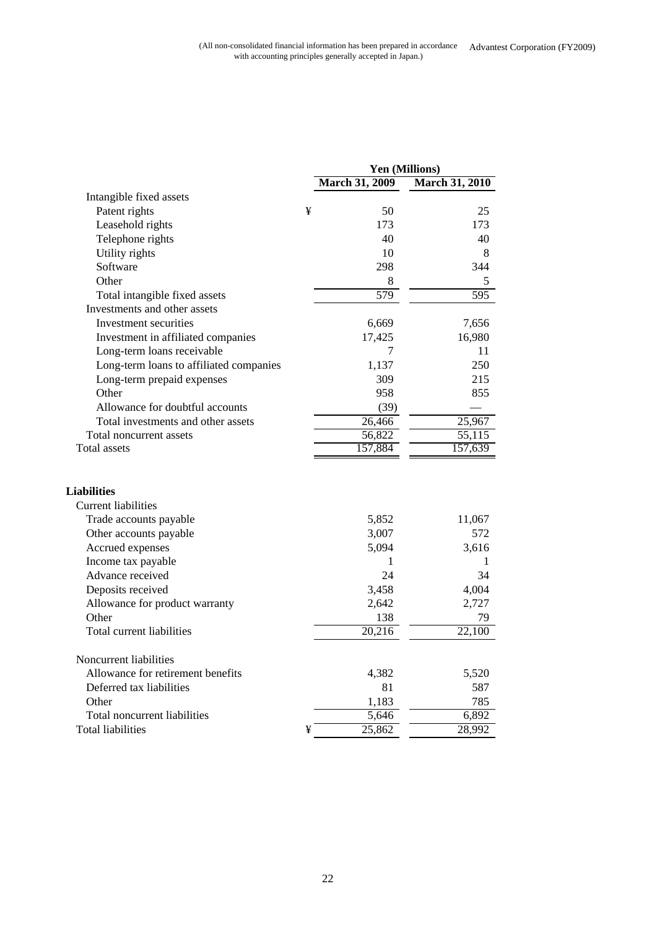|                                         |   | Yen (Millions)        |                       |
|-----------------------------------------|---|-----------------------|-----------------------|
|                                         |   | <b>March 31, 2009</b> | <b>March 31, 2010</b> |
| Intangible fixed assets                 |   |                       |                       |
| Patent rights                           | ¥ | 50                    | 25                    |
| Leasehold rights                        |   | 173                   | 173                   |
| Telephone rights                        |   | 40                    | 40                    |
| Utility rights                          |   | 10                    | 8                     |
| Software                                |   | 298                   | 344                   |
| Other                                   |   | 8                     | 5                     |
| Total intangible fixed assets           |   | 579                   | 595                   |
| Investments and other assets            |   |                       |                       |
| Investment securities                   |   | 6,669                 | 7,656                 |
| Investment in affiliated companies      |   | 17,425                | 16,980                |
| Long-term loans receivable              |   | 7                     | 11                    |
| Long-term loans to affiliated companies |   | 1,137                 | 250                   |
| Long-term prepaid expenses              |   | 309                   | 215                   |
| Other                                   |   | 958                   | 855                   |
| Allowance for doubtful accounts         |   | (39)                  |                       |
| Total investments and other assets      |   | 26,466                | 25,967                |
| Total noncurrent assets                 |   | 56,822                | 55,115                |
| Total assets                            |   | 157,884               | 157,639               |
| <b>Liabilities</b>                      |   |                       |                       |
| <b>Current liabilities</b>              |   |                       |                       |
| Trade accounts payable                  |   | 5,852                 | 11,067                |
| Other accounts payable                  |   | 3,007                 | 572                   |
| Accrued expenses                        |   | 5,094                 | 3,616                 |
| Income tax payable                      |   | 1                     | 1                     |
| Advance received                        |   | 24                    | 34                    |
| Deposits received                       |   | 3,458                 | 4,004                 |
| Allowance for product warranty          |   | 2,642                 | 2,727                 |
| Other                                   |   | 138                   | 79                    |
| Total current liabilities               |   | $\overline{20,216}$   | 22,100                |
| Noncurrent liabilities                  |   |                       |                       |
| Allowance for retirement benefits       |   | 4,382                 | 5,520                 |
| Deferred tax liabilities                |   | 81                    | 587                   |
| Other                                   |   | 1,183                 | 785                   |
| Total noncurrent liabilities            |   | 5,646                 | 6,892                 |
| Total liabilities                       | ¥ | 25,862                | 28,992                |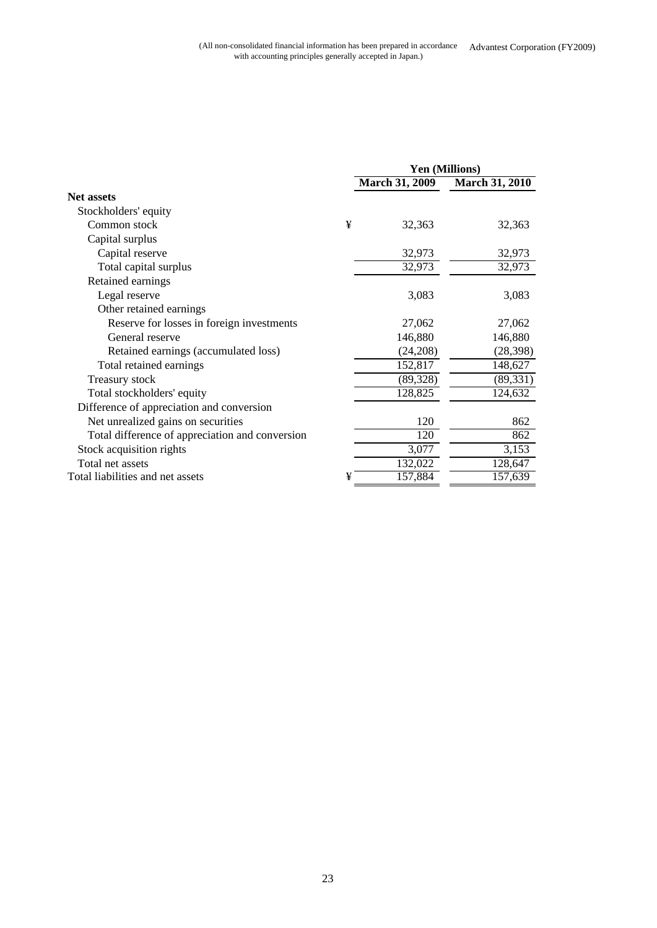|                                                 | Yen (Millions) |                       |                       |
|-------------------------------------------------|----------------|-----------------------|-----------------------|
|                                                 |                | <b>March 31, 2009</b> | <b>March 31, 2010</b> |
| Net assets                                      |                |                       |                       |
| Stockholders' equity                            |                |                       |                       |
| Common stock                                    | ¥              | 32,363                | 32,363                |
| Capital surplus                                 |                |                       |                       |
| Capital reserve                                 |                | 32,973                | 32,973                |
| Total capital surplus                           |                | 32,973                | 32,973                |
| Retained earnings                               |                |                       |                       |
| Legal reserve                                   |                | 3,083                 | 3,083                 |
| Other retained earnings                         |                |                       |                       |
| Reserve for losses in foreign investments       |                | 27,062                | 27,062                |
| General reserve                                 |                | 146,880               | 146,880               |
| Retained earnings (accumulated loss)            |                | (24,208)              | (28, 398)             |
| Total retained earnings                         |                | 152,817               | 148,627               |
| Treasury stock                                  |                | (89, 328)             | (89, 331)             |
| Total stockholders' equity                      |                | 128,825               | 124,632               |
| Difference of appreciation and conversion       |                |                       |                       |
| Net unrealized gains on securities              |                | 120                   | 862                   |
| Total difference of appreciation and conversion |                | 120                   | 862                   |
| Stock acquisition rights                        |                | 3,077                 | 3,153                 |
| Total net assets                                |                | 132,022               | 128,647               |
| Total liabilities and net assets                | ¥              | 157,884               | 157,639               |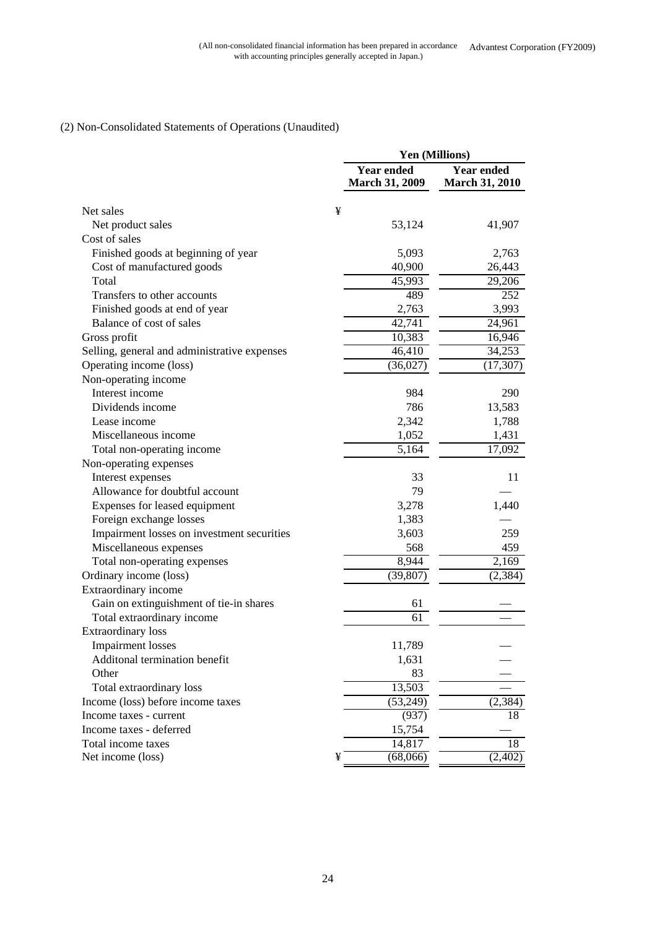## (2) Non-Consolidated Statements of Operations (Unaudited)

|                                              |   | Yen (Millions)                             |                                            |  |
|----------------------------------------------|---|--------------------------------------------|--------------------------------------------|--|
|                                              |   | <b>Year ended</b><br><b>March 31, 2009</b> | <b>Year ended</b><br><b>March 31, 2010</b> |  |
| Net sales                                    | ¥ |                                            |                                            |  |
| Net product sales                            |   | 53,124                                     | 41,907                                     |  |
| Cost of sales                                |   |                                            |                                            |  |
| Finished goods at beginning of year          |   | 5,093                                      | 2,763                                      |  |
| Cost of manufactured goods                   |   | 40,900                                     | 26,443                                     |  |
| Total                                        |   | 45,993                                     | 29,206                                     |  |
| Transfers to other accounts                  |   | 489                                        | 252                                        |  |
| Finished goods at end of year                |   | 2,763                                      | 3,993                                      |  |
| Balance of cost of sales                     |   | 42,741                                     | 24,961                                     |  |
| Gross profit                                 |   | 10,383                                     | 16,946                                     |  |
| Selling, general and administrative expenses |   | 46,410                                     | 34,253                                     |  |
| Operating income (loss)                      |   | (36,027)                                   | (17, 307)                                  |  |
| Non-operating income                         |   |                                            |                                            |  |
| Interest income                              |   | 984                                        | 290                                        |  |
| Dividends income                             |   | 786                                        | 13,583                                     |  |
| Lease income                                 |   | 2,342                                      | 1,788                                      |  |
| Miscellaneous income                         |   | 1,052                                      | 1,431                                      |  |
| Total non-operating income                   |   | 5,164                                      | 17,092                                     |  |
| Non-operating expenses                       |   |                                            |                                            |  |
| Interest expenses                            |   | 33                                         | 11                                         |  |
| Allowance for doubtful account               |   | 79                                         |                                            |  |
| Expenses for leased equipment                |   | 3,278                                      | 1,440                                      |  |
| Foreign exchange losses                      |   | 1,383                                      |                                            |  |
| Impairment losses on investment securities   |   | 3,603                                      | 259                                        |  |
| Miscellaneous expenses                       |   | 568                                        | 459                                        |  |
| Total non-operating expenses                 |   | 8,944                                      | 2,169                                      |  |
| Ordinary income (loss)                       |   | (39, 807)                                  | (2, 384)                                   |  |
| Extraordinary income                         |   |                                            |                                            |  |
| Gain on extinguishment of tie-in shares      |   | 61                                         |                                            |  |
| Total extraordinary income                   |   | 61                                         |                                            |  |
| <b>Extraordinary loss</b>                    |   |                                            |                                            |  |
| <b>Impairment</b> losses                     |   | 11,789                                     |                                            |  |
| Additonal termination benefit                |   | 1,631                                      |                                            |  |
| Other                                        |   | 83                                         |                                            |  |
| Total extraordinary loss                     |   | 13,503                                     |                                            |  |
| Income (loss) before income taxes            |   | (53,249)                                   | (2, 384)                                   |  |
| Income taxes - current                       |   | (937)                                      | 18                                         |  |
| Income taxes - deferred                      |   | 15,754                                     |                                            |  |
| Total income taxes                           |   | 14,817                                     | 18                                         |  |
| Net income (loss)                            | ¥ | (68,066)                                   | (2,402)                                    |  |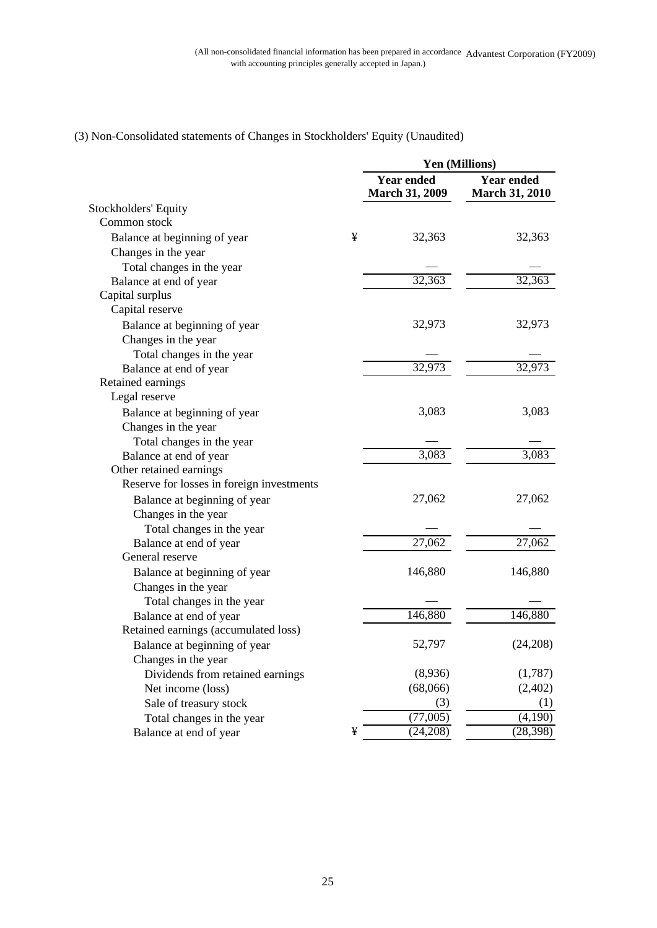|                                           | Yen (Millions) |                                            |                                            |
|-------------------------------------------|----------------|--------------------------------------------|--------------------------------------------|
|                                           |                | <b>Year ended</b><br><b>March 31, 2009</b> | <b>Year ended</b><br><b>March 31, 2010</b> |
| Stockholders' Equity                      |                |                                            |                                            |
| Common stock                              |                |                                            |                                            |
| Balance at beginning of year              | ¥              | 32,363                                     | 32,363                                     |
| Changes in the year                       |                |                                            |                                            |
| Total changes in the year                 |                |                                            |                                            |
| Balance at end of year                    |                | 32,363                                     | 32,363                                     |
| Capital surplus                           |                |                                            |                                            |
| Capital reserve                           |                |                                            |                                            |
| Balance at beginning of year              |                | 32,973                                     | 32,973                                     |
| Changes in the year                       |                |                                            |                                            |
| Total changes in the year                 |                |                                            |                                            |
| Balance at end of year                    |                | 32,973                                     | 32,973                                     |
| Retained earnings                         |                |                                            |                                            |
| Legal reserve                             |                |                                            |                                            |
| Balance at beginning of year              |                | 3,083                                      | 3,083                                      |
| Changes in the year                       |                |                                            |                                            |
| Total changes in the year                 |                |                                            |                                            |
| Balance at end of year                    |                | 3,083                                      | 3,083                                      |
| Other retained earnings                   |                |                                            |                                            |
| Reserve for losses in foreign investments |                |                                            |                                            |
| Balance at beginning of year              |                | 27,062                                     | 27,062                                     |
| Changes in the year                       |                |                                            |                                            |
| Total changes in the year                 |                |                                            |                                            |
| Balance at end of year                    |                | 27,062                                     | 27,062                                     |
| General reserve                           |                |                                            |                                            |
| Balance at beginning of year              |                | 146,880                                    | 146,880                                    |
| Changes in the year                       |                |                                            |                                            |
| Total changes in the year                 |                |                                            |                                            |
| Balance at end of year                    |                | 146,880                                    | 146,880                                    |
| Retained earnings (accumulated loss)      |                |                                            |                                            |
| Balance at beginning of year              |                | 52,797                                     | (24,208)                                   |
| Changes in the year                       |                |                                            |                                            |
| Dividends from retained earnings          |                | (8,936)                                    | (1,787)                                    |
| Net income (loss)                         |                | (68,066)                                   | (2,402)                                    |
| Sale of treasury stock                    |                | (3)                                        | (1)                                        |
| Total changes in the year                 |                | (77,005)                                   | (4,190)                                    |
| Balance at end of year                    | ¥              | (24, 208)                                  | (28, 398)                                  |

## (3) Non-Consolidated statements of Changes in Stockholders' Equity (Unaudited)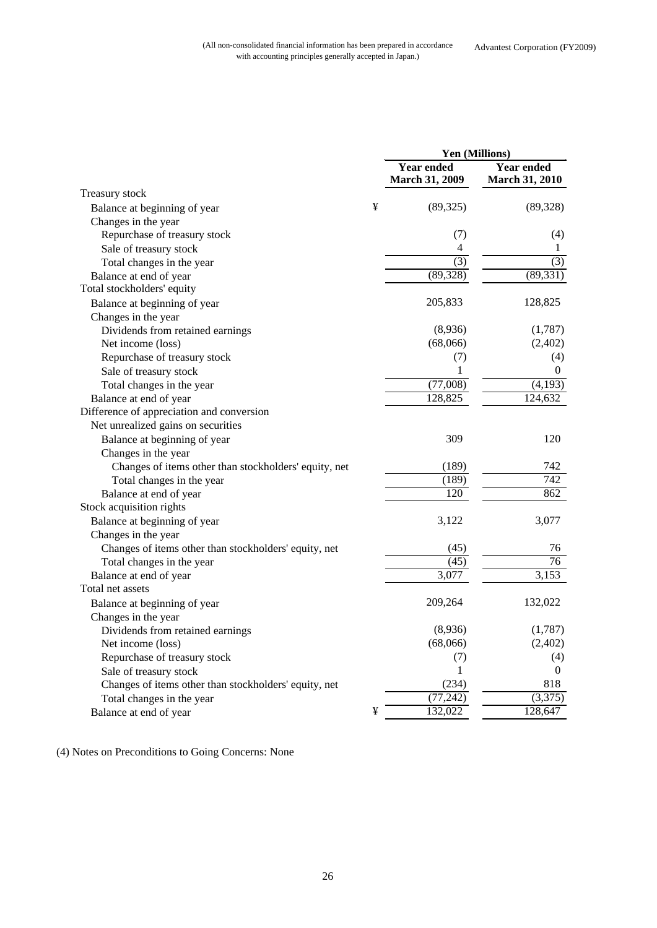|                                                       |   | Yen (Millions)                             |                                            |  |
|-------------------------------------------------------|---|--------------------------------------------|--------------------------------------------|--|
|                                                       |   | <b>Year ended</b><br><b>March 31, 2009</b> | <b>Year ended</b><br><b>March 31, 2010</b> |  |
| Treasury stock                                        |   |                                            |                                            |  |
| Balance at beginning of year                          | ¥ | (89, 325)                                  | (89, 328)                                  |  |
| Changes in the year                                   |   |                                            |                                            |  |
| Repurchase of treasury stock                          |   | (7)                                        | (4)                                        |  |
| Sale of treasury stock                                |   | 4                                          | 1                                          |  |
| Total changes in the year                             |   | $\overline{(3)}$                           | $\overline{(3)}$                           |  |
| Balance at end of year                                |   | (89, 328)                                  | (89, 331)                                  |  |
| Total stockholders' equity                            |   |                                            |                                            |  |
| Balance at beginning of year                          |   | 205,833                                    | 128,825                                    |  |
| Changes in the year                                   |   |                                            |                                            |  |
| Dividends from retained earnings                      |   | (8,936)                                    | (1,787)                                    |  |
| Net income (loss)                                     |   | (68,066)                                   | (2,402)                                    |  |
| Repurchase of treasury stock                          |   | (7)                                        | (4)                                        |  |
| Sale of treasury stock                                |   | 1                                          | $\mathbf{0}$                               |  |
| Total changes in the year                             |   | (77,008)                                   | (4,193)                                    |  |
| Balance at end of year                                |   | 128,825                                    | 124,632                                    |  |
| Difference of appreciation and conversion             |   |                                            |                                            |  |
| Net unrealized gains on securities                    |   |                                            |                                            |  |
| Balance at beginning of year                          |   | 309                                        | 120                                        |  |
| Changes in the year                                   |   |                                            |                                            |  |
| Changes of items other than stockholders' equity, net |   | (189)                                      | 742                                        |  |
| Total changes in the year                             |   | (189)                                      | $\overline{742}$                           |  |
| Balance at end of year                                |   | 120                                        | 862                                        |  |
| Stock acquisition rights                              |   |                                            |                                            |  |
| Balance at beginning of year                          |   | 3,122                                      | 3,077                                      |  |
| Changes in the year                                   |   |                                            |                                            |  |
| Changes of items other than stockholders' equity, net |   | (45)                                       | 76                                         |  |
| Total changes in the year                             |   | (45)                                       | 76                                         |  |
| Balance at end of year                                |   | 3,077                                      | $\overline{3,153}$                         |  |
| Total net assets                                      |   |                                            |                                            |  |
| Balance at beginning of year                          |   | 209,264                                    | 132,022                                    |  |
| Changes in the year                                   |   |                                            |                                            |  |
| Dividends from retained earnings                      |   | (8,936)                                    | (1,787)                                    |  |
| Net income (loss)                                     |   | (68,066)                                   | (2,402)                                    |  |
| Repurchase of treasury stock                          |   | (7)                                        | (4)                                        |  |
| Sale of treasury stock                                |   | 1                                          | 0                                          |  |
| Changes of items other than stockholders' equity, net |   | (234)                                      | 818                                        |  |
| Total changes in the year                             |   | (77, 242)                                  | (3,375)                                    |  |
| Balance at end of year                                | ¥ | 132,022                                    | 128,647                                    |  |
|                                                       |   |                                            |                                            |  |

(4) Notes on Preconditions to Going Concerns: None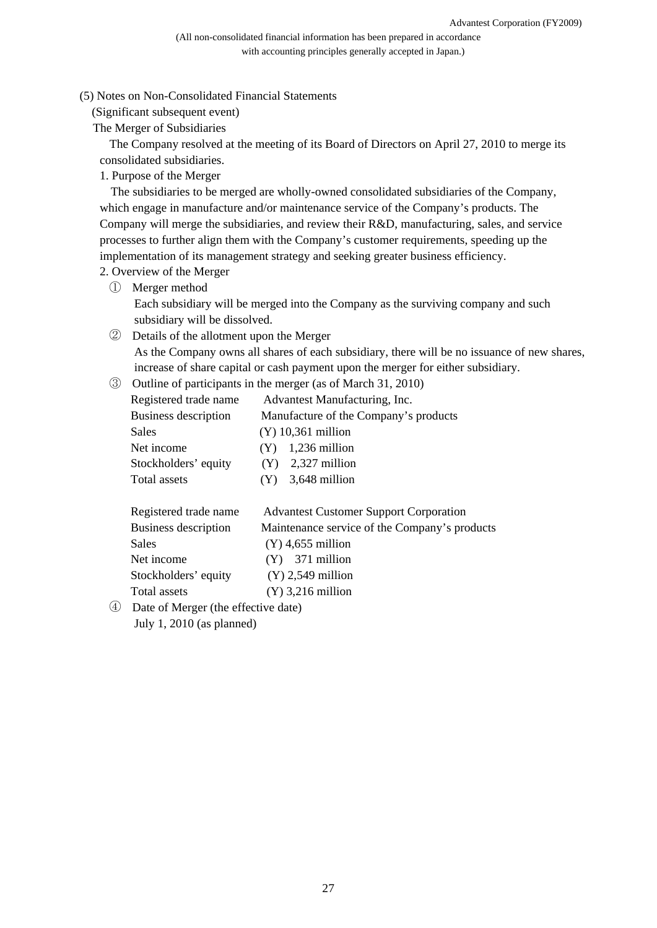(5) Notes on Non-Consolidated Financial Statements

(Significant subsequent event)

The Merger of Subsidiaries

The Company resolved at the meeting of its Board of Directors on April 27, 2010 to merge its consolidated subsidiaries.

1. Purpose of the Merger

The subsidiaries to be merged are wholly-owned consolidated subsidiaries of the Company, which engage in manufacture and/or maintenance service of the Company's products. The Company will merge the subsidiaries, and review their R&D, manufacturing, sales, and service processes to further align them with the Company's customer requirements, speeding up the implementation of its management strategy and seeking greater business efficiency.

- 2. Overview of the Merger
	- ① Merger method

Each subsidiary will be merged into the Company as the surviving company and such subsidiary will be dissolved.

② Details of the allotment upon the Merger

As the Company owns all shares of each subsidiary, there will be no issuance of new shares, increase of share capital or cash payment upon the merger for either subsidiary.

③ Outline of participants in the merger (as of March 31, 2010)

| Registered trade name | Advantest Manufacturing, Inc.         |  |  |
|-----------------------|---------------------------------------|--|--|
| Business description  | Manufacture of the Company's products |  |  |
| Sales                 | $(Y)$ 10,361 million                  |  |  |
| Net income            | $(Y)$ 1,236 million                   |  |  |
| Stockholders' equity  | 2,327 million<br>(Y)                  |  |  |
| Total assets          | $(Y)$ 3,648 million                   |  |  |
|                       |                                       |  |  |

| Registered trade name | <b>Advantest Customer Support Corporation</b> |
|-----------------------|-----------------------------------------------|
| Business description  | Maintenance service of the Company's products |
| Sales                 | $(Y)$ 4,655 million                           |
| Net income            | $(Y)$ 371 million                             |
| Stockholders' equity  | $(Y)$ 2,549 million                           |
| Total assets          | $(Y)$ 3,216 million                           |
|                       |                                               |

④ Date of Merger (the effective date) July 1, 2010 (as planned)